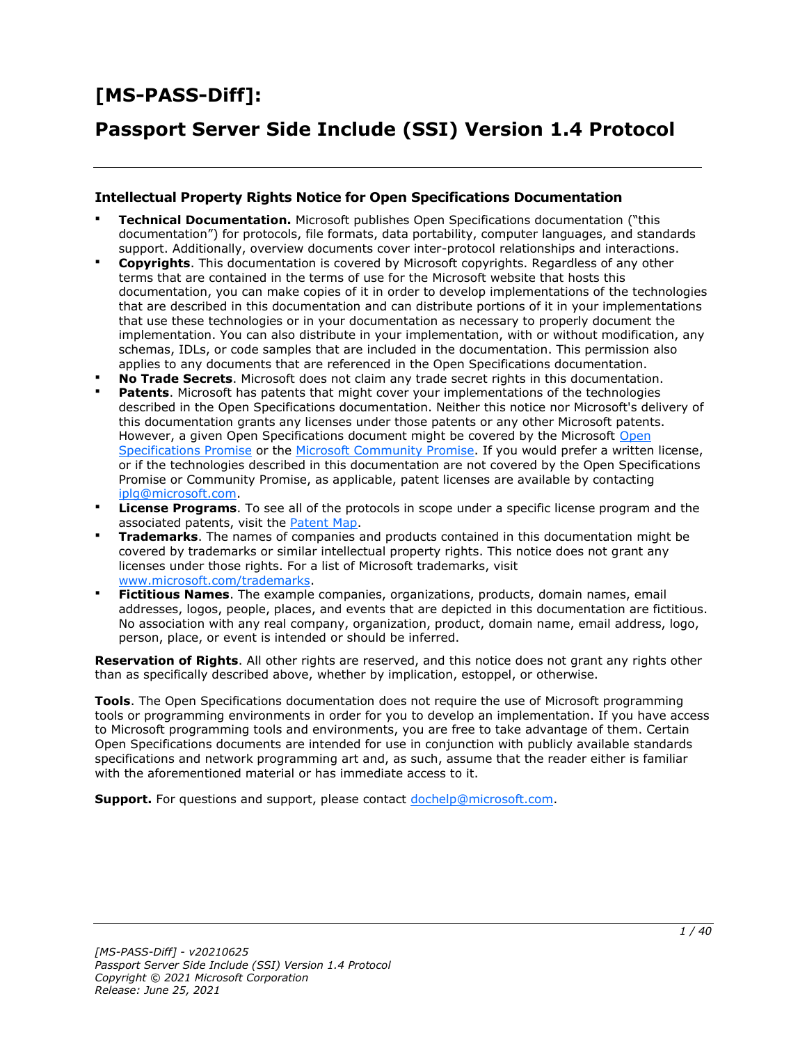# **[MS-PASS-Diff]:**

# **Passport Server Side Include (SSI) Version 1.4 Protocol**

#### **Intellectual Property Rights Notice for Open Specifications Documentation**

- **Technical Documentation.** Microsoft publishes Open Specifications documentation ("this documentation") for protocols, file formats, data portability, computer languages, and standards support. Additionally, overview documents cover inter-protocol relationships and interactions.
- **Copyrights**. This documentation is covered by Microsoft copyrights. Regardless of any other terms that are contained in the terms of use for the Microsoft website that hosts this documentation, you can make copies of it in order to develop implementations of the technologies that are described in this documentation and can distribute portions of it in your implementations that use these technologies or in your documentation as necessary to properly document the implementation. You can also distribute in your implementation, with or without modification, any schemas, IDLs, or code samples that are included in the documentation. This permission also applies to any documents that are referenced in the Open Specifications documentation.
- **No Trade Secrets**. Microsoft does not claim any trade secret rights in this documentation.
- **Patents**. Microsoft has patents that might cover your implementations of the technologies described in the Open Specifications documentation. Neither this notice nor Microsoft's delivery of this documentation grants any licenses under those patents or any other Microsoft patents. However, a given [Open](https://go.microsoft.com/fwlink/?LinkId=214445) Specifications document might be covered by the Microsoft Open [Specifications Promise](https://go.microsoft.com/fwlink/?LinkId=214445) or the [Microsoft Community Promise.](https://go.microsoft.com/fwlink/?LinkId=214448) If you would prefer a written license, or if the technologies described in this documentation are not covered by the Open Specifications Promise or Community Promise, as applicable, patent licenses are available by contacting [iplg@microsoft.com.](mailto:iplg@microsoft.com)
- **License Programs**. To see all of the protocols in scope under a specific license program and the associated patents, visit the [Patent Map.](https://aka.ms/AA9ufj8)
- **Trademarks**. The names of companies and products contained in this documentation might be covered by trademarks or similar intellectual property rights. This notice does not grant any licenses under those rights. For a list of Microsoft trademarks, visit [www.microsoft.com/trademarks.](https://www.microsoft.com/trademarks)
- **Fictitious Names**. The example companies, organizations, products, domain names, email addresses, logos, people, places, and events that are depicted in this documentation are fictitious. No association with any real company, organization, product, domain name, email address, logo, person, place, or event is intended or should be inferred.

**Reservation of Rights**. All other rights are reserved, and this notice does not grant any rights other than as specifically described above, whether by implication, estoppel, or otherwise.

**Tools**. The Open Specifications documentation does not require the use of Microsoft programming tools or programming environments in order for you to develop an implementation. If you have access to Microsoft programming tools and environments, you are free to take advantage of them. Certain Open Specifications documents are intended for use in conjunction with publicly available standards specifications and network programming art and, as such, assume that the reader either is familiar with the aforementioned material or has immediate access to it.

**Support.** For questions and support, please contact [dochelp@microsoft.com.](mailto:dochelp@microsoft.com)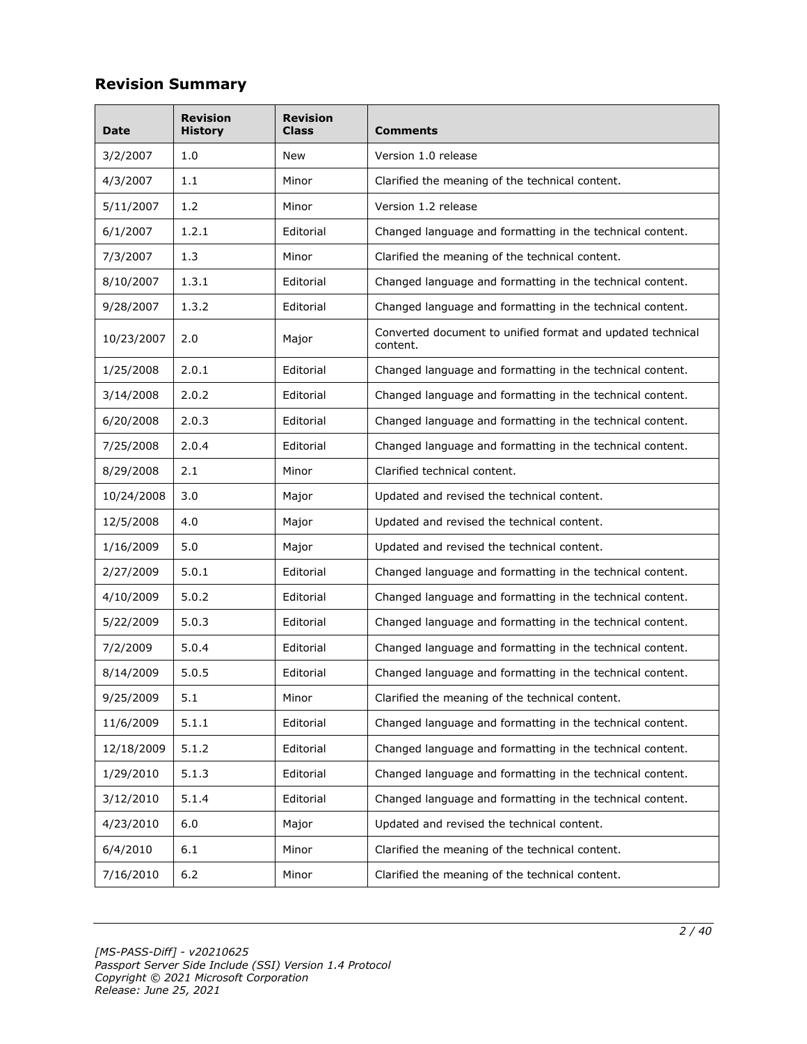# **Revision Summary**

| Date               | <b>Revision</b><br><b>History</b>                          | <b>Revision</b><br>Class                                               | Comments                                                               |  |
|--------------------|------------------------------------------------------------|------------------------------------------------------------------------|------------------------------------------------------------------------|--|
| 3/2/2007           | 1.0                                                        | New                                                                    | Version 1.0 release                                                    |  |
| 1.1<br>4/3/2007    |                                                            | Minor                                                                  | Clarified the meaning of the technical content.                        |  |
| 5/11/2007          | 1.2                                                        |                                                                        | Version 1.2 release                                                    |  |
| 6/1/2007           | 1.2.1                                                      | Editorial                                                              | Changed language and formatting in the technical content.              |  |
| 7/3/2007           | 1.3                                                        | Minor                                                                  | Clarified the meaning of the technical content.                        |  |
| 8/10/2007          | 1.3.1                                                      | Editorial                                                              | Changed language and formatting in the technical content.              |  |
| 9/28/2007          | 1.3.2                                                      | Editorial                                                              | Changed language and formatting in the technical content.              |  |
| 10/23/2007         | 2.0                                                        | Major                                                                  | Converted document to unified format and updated technical<br>content. |  |
| 1/25/2008          | 2.0.1                                                      | Editorial                                                              | Changed language and formatting in the technical content.              |  |
| 3/14/2008          | 2.0.2                                                      | Editorial                                                              | Changed language and formatting in the technical content.              |  |
| 6/20/2008          | 2.0.3                                                      | Editorial                                                              | Changed language and formatting in the technical content.              |  |
| 2.0.4<br>7/25/2008 |                                                            | Editorial                                                              | Changed language and formatting in the technical content.              |  |
| 8/29/2008          | 2.1<br>Minor                                               |                                                                        | Clarified technical content.                                           |  |
| 10/24/2008         | 3.0                                                        | Major<br>Updated and revised the technical content.                    |                                                                        |  |
| 12/5/2008          | 4.0<br>Major<br>Updated and revised the technical content. |                                                                        |                                                                        |  |
| 1/16/2009          | 5.0                                                        | Major                                                                  | Updated and revised the technical content.                             |  |
| 2/27/2009          | 5.0.1<br>Editorial                                         |                                                                        | Changed language and formatting in the technical content.              |  |
| 4/10/2009          | 5.0.2                                                      | Editorial                                                              | Changed language and formatting in the technical content.              |  |
| 5/22/2009          | 5.0.3                                                      | Editorial                                                              | Changed language and formatting in the technical content.              |  |
| 7/2/2009           | 5.0.4                                                      | Editorial                                                              | Changed language and formatting in the technical content.              |  |
| 8/14/2009          | 5.0.5                                                      | Editorial                                                              | Changed language and formatting in the technical content.              |  |
| 9/25/2009          | 5.1                                                        | Minor                                                                  | Clarified the meaning of the technical content.                        |  |
| 11/6/2009          | 5.1.1                                                      | Editorial                                                              | Changed language and formatting in the technical content.              |  |
| 12/18/2009         | 5.1.2                                                      | Editorial                                                              | Changed language and formatting in the technical content.              |  |
| 1/29/2010          | 5.1.3                                                      | Editorial                                                              | Changed language and formatting in the technical content.              |  |
| 3/12/2010          | 5.1.4                                                      | Editorial<br>Changed language and formatting in the technical content. |                                                                        |  |
| 4/23/2010          | 6.0                                                        | Major                                                                  | Updated and revised the technical content.                             |  |
| 6/4/2010           | 6.1                                                        | Minor                                                                  | Clarified the meaning of the technical content.                        |  |
| 7/16/2010<br>$6.2$ |                                                            | Minor                                                                  | Clarified the meaning of the technical content.                        |  |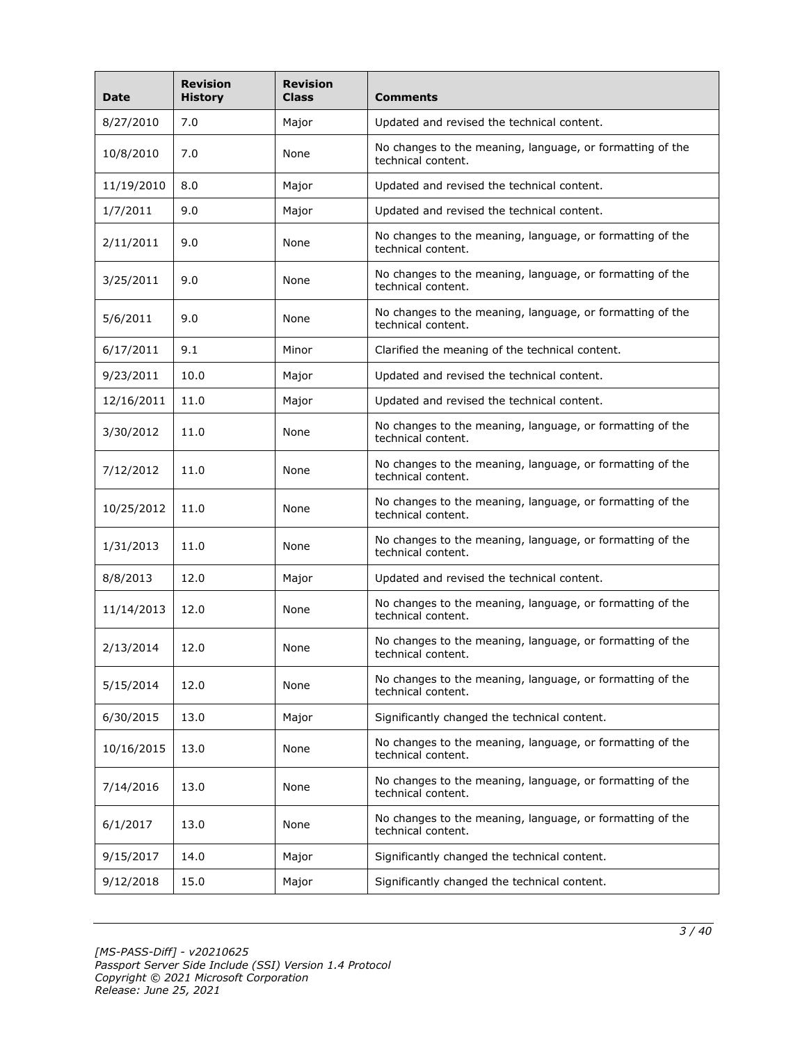| <b>Date</b>                | <b>Revision</b><br><b>History</b>  | <b>Revision</b><br><b>Class</b>              | <b>Comments</b>                                                                 |  |
|----------------------------|------------------------------------|----------------------------------------------|---------------------------------------------------------------------------------|--|
| 8/27/2010                  | 7.0                                | Major                                        | Updated and revised the technical content.                                      |  |
| 10/8/2010                  | 7.0                                | None                                         | No changes to the meaning, language, or formatting of the<br>technical content. |  |
| 11/19/2010                 | 8.0                                |                                              | Updated and revised the technical content.                                      |  |
| 1/7/2011                   | 9.0                                | Major                                        | Updated and revised the technical content.                                      |  |
| 2/11/2011                  | 9.0                                | None                                         | No changes to the meaning, language, or formatting of the<br>technical content. |  |
| 3/25/2011                  | 9.0<br>None<br>technical content.  |                                              | No changes to the meaning, language, or formatting of the                       |  |
| 5/6/2011                   | 9.0                                | None                                         | No changes to the meaning, language, or formatting of the<br>technical content. |  |
| 6/17/2011                  | 9.1                                | Minor                                        | Clarified the meaning of the technical content.                                 |  |
| 9/23/2011                  | 10.0                               | Major                                        | Updated and revised the technical content.                                      |  |
| 12/16/2011                 | 11.0                               | Major                                        | Updated and revised the technical content.                                      |  |
| 11.0<br>3/30/2012<br>None  |                                    |                                              | No changes to the meaning, language, or formatting of the<br>technical content. |  |
| 7/12/2012                  | 11.0<br>None                       |                                              | No changes to the meaning, language, or formatting of the<br>technical content. |  |
| 10/25/2012                 | 11.0                               | None                                         | No changes to the meaning, language, or formatting of the<br>technical content. |  |
| 1/31/2013                  | 11.0                               | None                                         | No changes to the meaning, language, or formatting of the<br>technical content. |  |
| 8/8/2013                   | 12.0                               | Major                                        | Updated and revised the technical content.                                      |  |
| 11/14/2013                 | 12.0                               | None                                         | No changes to the meaning, language, or formatting of the<br>technical content. |  |
| 2/13/2014                  | 12.0                               | None                                         | No changes to the meaning, language, or formatting of the<br>technical content. |  |
| 5/15/2014<br>12.0<br>None  |                                    |                                              | No changes to the meaning, language, or formatting of the<br>technical content. |  |
| 6/30/2015                  | 13.0                               | Major                                        | Significantly changed the technical content.                                    |  |
| 10/16/2015                 | 13.0                               | None                                         | No changes to the meaning, language, or formatting of the<br>technical content. |  |
| 7/14/2016                  | 13.0                               | None                                         | No changes to the meaning, language, or formatting of the<br>technical content. |  |
| 6/1/2017                   | 13.0<br>None<br>technical content. |                                              | No changes to the meaning, language, or formatting of the                       |  |
| 9/15/2017                  | 14.0                               | Major                                        | Significantly changed the technical content.                                    |  |
| 15.0<br>9/12/2018<br>Major |                                    | Significantly changed the technical content. |                                                                                 |  |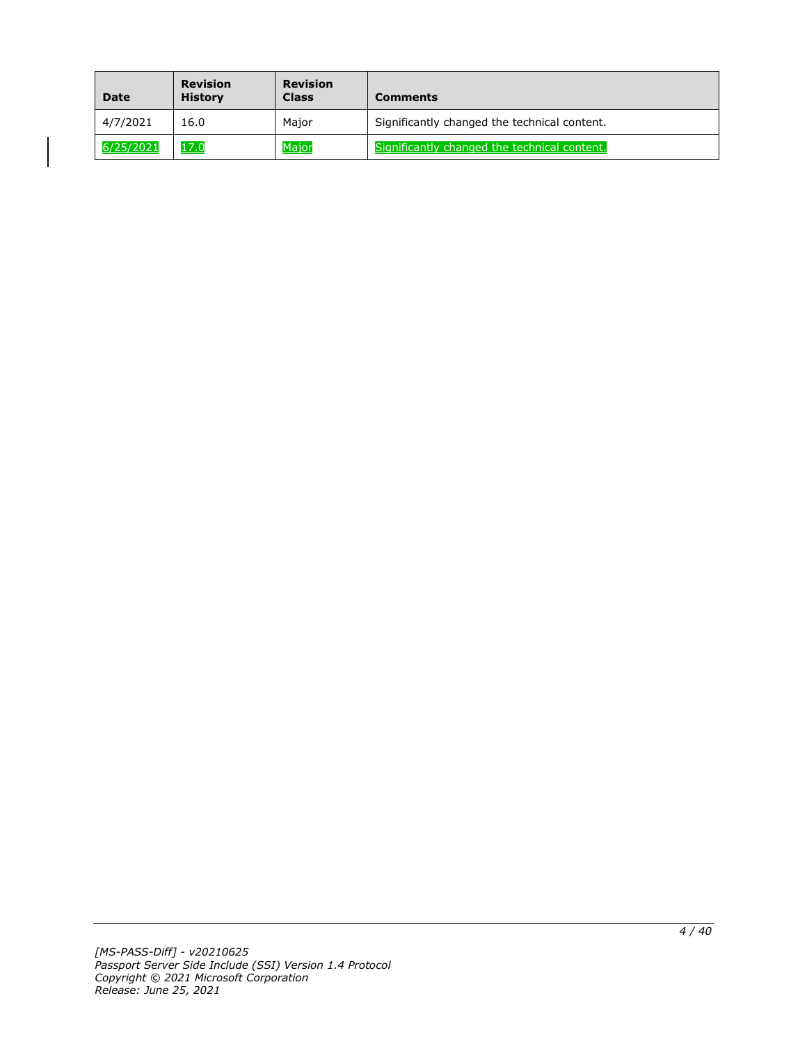| <b>Date</b> | Revision<br><b>History</b> | <b>Revision</b><br><b>Class</b> | <b>Comments</b>                              |
|-------------|----------------------------|---------------------------------|----------------------------------------------|
| 4/7/2021    | 16.0                       | Major                           | Significantly changed the technical content. |
| 6/25/2021   | 17.0                       | Major                           | Significantly changed the technical content. |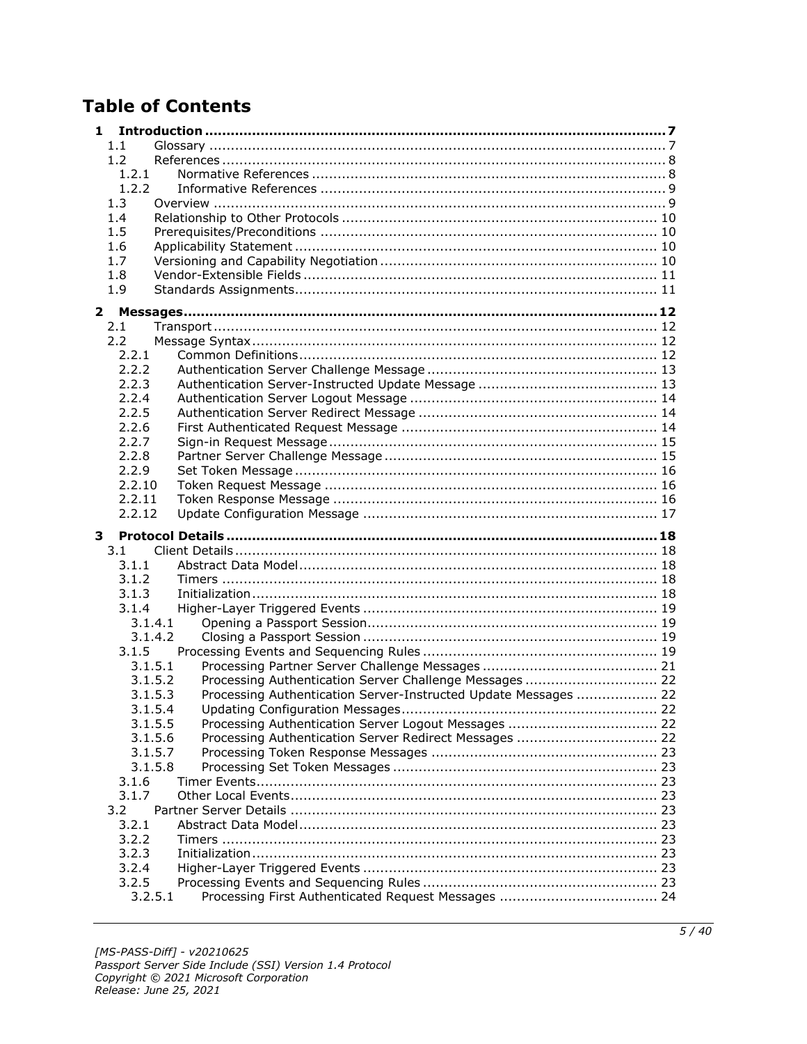# **Table of Contents**

| 1.               |                                                                 |  |
|------------------|-----------------------------------------------------------------|--|
| 1.1              |                                                                 |  |
| 1.2              |                                                                 |  |
| 1.2.1            |                                                                 |  |
| 1.2.2            |                                                                 |  |
| 1.3              |                                                                 |  |
| 1.4              |                                                                 |  |
| 1.5              |                                                                 |  |
| 1.6              |                                                                 |  |
| 1.7              |                                                                 |  |
| 1.8              |                                                                 |  |
| 1.9              |                                                                 |  |
| $\mathbf{2}$     |                                                                 |  |
| 2.1              |                                                                 |  |
| 2.2              |                                                                 |  |
| 2.2.1            |                                                                 |  |
| 2.2.2            |                                                                 |  |
| 2.2.3            |                                                                 |  |
| 2.2.4            |                                                                 |  |
| 2.2.5            |                                                                 |  |
| 2.2.6            |                                                                 |  |
| 2.2.7            |                                                                 |  |
| 2.2.8            |                                                                 |  |
| 2.2.9            |                                                                 |  |
| 2.2.10           |                                                                 |  |
| 2.2.11<br>2.2.12 |                                                                 |  |
|                  |                                                                 |  |
|                  |                                                                 |  |
| 3                |                                                                 |  |
| 3.1              |                                                                 |  |
| 3.1.1            |                                                                 |  |
| 3.1.2            |                                                                 |  |
| 3.1.3            |                                                                 |  |
| 3.1.4            |                                                                 |  |
| 3.1.4.1          |                                                                 |  |
| 3.1.4.2          |                                                                 |  |
| 3.1.5            |                                                                 |  |
| 3.1.5.1          |                                                                 |  |
| 3.1.5.2          | Processing Authentication Server Challenge Messages  22         |  |
| 3.1.5.3          | Processing Authentication Server-Instructed Update Messages  22 |  |
| 3.1.5.4          |                                                                 |  |
| 3.1.5.5          |                                                                 |  |
| 3.1.5.6          | Processing Authentication Server Redirect Messages  22          |  |
| 3.1.5.7          |                                                                 |  |
| 3.1.5.8          |                                                                 |  |
| 3.1.6<br>3.1.7   |                                                                 |  |
| 3.2              |                                                                 |  |
| 3.2.1            |                                                                 |  |
| 3.2.2            |                                                                 |  |
| 3.2.3            |                                                                 |  |
| 3.2.4            |                                                                 |  |
| 3.2.5            |                                                                 |  |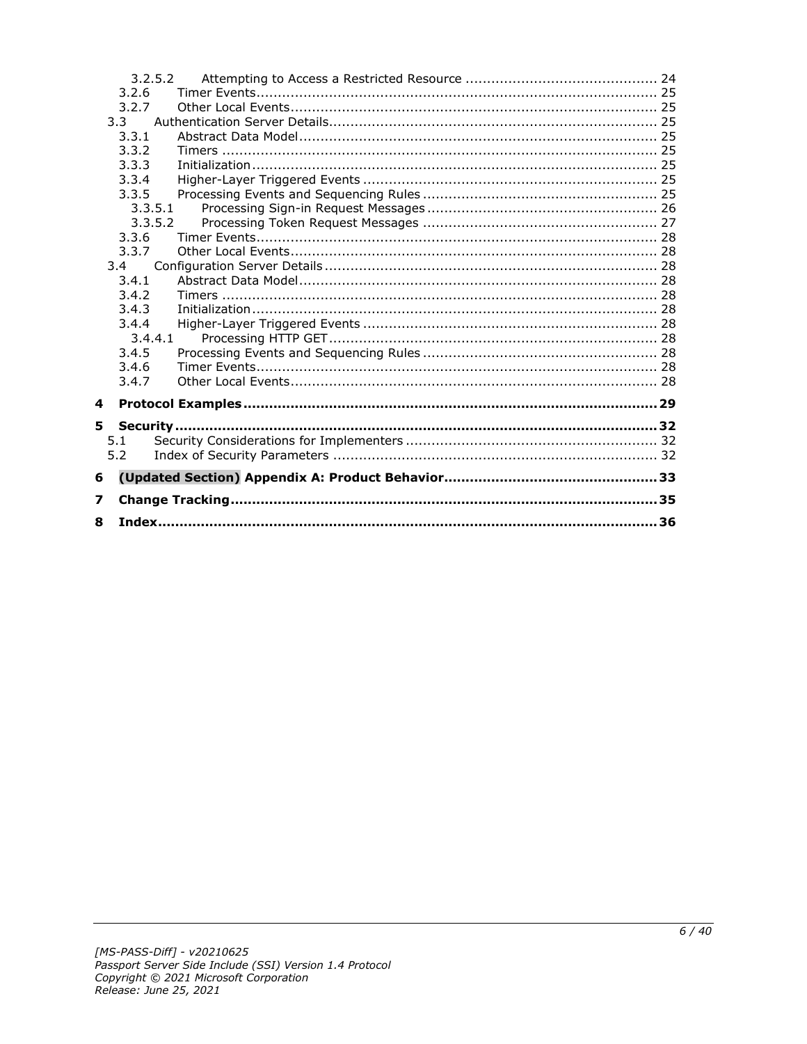|   |       | 3.2.5.2 |  |
|---|-------|---------|--|
|   | 3.2.6 |         |  |
|   | 3.2.7 |         |  |
|   | 3.3   |         |  |
|   | 3.3.1 |         |  |
|   | 3.3.2 |         |  |
|   | 3.3.3 |         |  |
|   | 3.3.4 |         |  |
|   | 3.3.5 |         |  |
|   |       | 3.3.5.1 |  |
|   |       | 3.3.5.2 |  |
|   | 3.3.6 |         |  |
|   | 3.3.7 |         |  |
|   | 3.4   |         |  |
|   | 3.4.1 |         |  |
|   | 3.4.2 |         |  |
|   | 3.4.3 |         |  |
|   | 3.4.4 |         |  |
|   | 3.4.5 | 3.4.4.1 |  |
|   | 3.4.6 |         |  |
|   | 3.4.7 |         |  |
|   |       |         |  |
| 4 |       |         |  |
| 5 |       |         |  |
|   | 5.1   |         |  |
|   | 5.2   |         |  |
|   |       |         |  |
| 6 |       |         |  |
| 7 |       |         |  |
| 8 |       |         |  |
|   |       |         |  |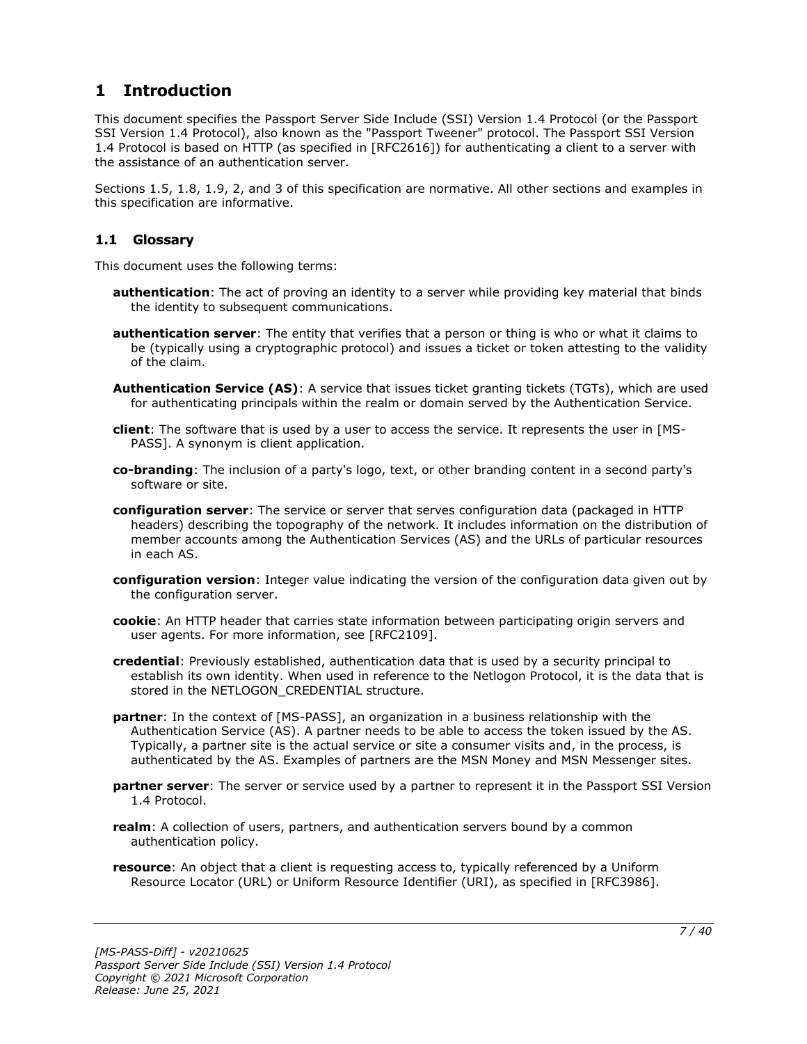# <span id="page-6-0"></span>**1 Introduction**

This document specifies the Passport Server Side Include (SSI) Version 1.4 Protocol (or the Passport SSI Version 1.4 Protocol), also known as the "Passport Tweener" protocol. The Passport SSI Version 1.4 Protocol is based on HTTP (as specified in [RFC2616]) for authenticating a client to a server with the assistance of an authentication server.

Sections 1.5, 1.8, 1.9, 2, and 3 of this specification are normative. All other sections and examples in this specification are informative.

# <span id="page-6-1"></span>**1.1 Glossary**

This document uses the following terms:

- **authentication**: The act of proving an identity to a server while providing key material that binds the identity to subsequent communications.
- **authentication server**: The entity that verifies that a person or thing is who or what it claims to be (typically using a cryptographic protocol) and issues a ticket or token attesting to the validity of the claim.
- **Authentication Service (AS)**: A service that issues ticket granting tickets (TGTs), which are used for authenticating principals within the realm or domain served by the Authentication Service.
- **client**: The software that is used by a user to access the service. It represents the user in [MS-PASS]. A synonym is client application.
- **co-branding**: The inclusion of a party's logo, text, or other branding content in a second party's software or site.
- **configuration server**: The service or server that serves configuration data (packaged in HTTP headers) describing the topography of the network. It includes information on the distribution of member accounts among the Authentication Services (AS) and the URLs of particular resources in each AS.
- **configuration version**: Integer value indicating the version of the configuration data given out by the configuration server.
- **cookie**: An HTTP header that carries state information between participating origin servers and user agents. For more information, see [RFC2109].
- **credential**: Previously established, authentication data that is used by a security principal to establish its own identity. When used in reference to the Netlogon Protocol, it is the data that is stored in the NETLOGON CREDENTIAL structure.
- **partner**: In the context of [MS-PASS], an organization in a business relationship with the Authentication Service (AS). A partner needs to be able to access the token issued by the AS. Typically, a partner site is the actual service or site a consumer visits and, in the process, is authenticated by the AS. Examples of partners are the MSN Money and MSN Messenger sites.
- **partner server**: The server or service used by a partner to represent it in the Passport SSI Version 1.4 Protocol.
- **realm**: A collection of users, partners, and authentication servers bound by a common authentication policy.
- **resource**: An object that a client is requesting access to, typically referenced by a Uniform Resource Locator (URL) or Uniform Resource Identifier (URI), as specified in [RFC3986].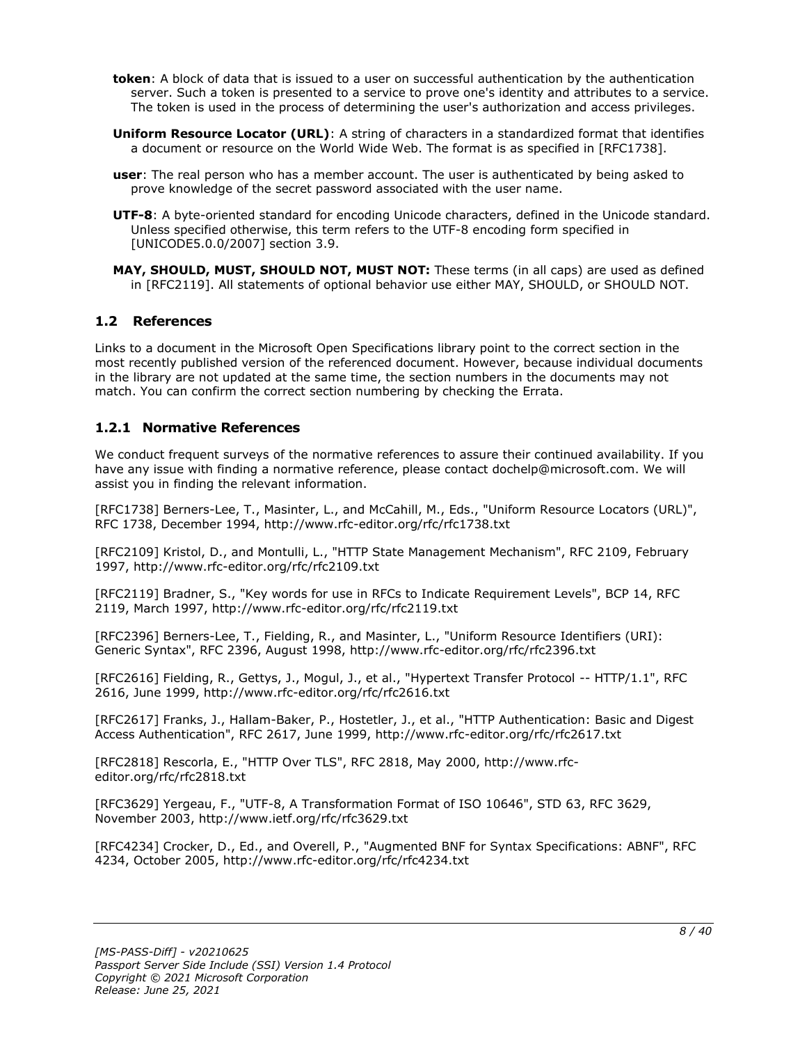- **token**: A block of data that is issued to a user on successful authentication by the authentication server. Such a token is presented to a service to prove one's identity and attributes to a service. The token is used in the process of determining the user's authorization and access privileges.
- **Uniform Resource Locator (URL)**: A string of characters in a standardized format that identifies a document or resource on the World Wide Web. The format is as specified in [RFC1738].
- **user**: The real person who has a member account. The user is authenticated by being asked to prove knowledge of the secret password associated with the user name.
- **UTF-8**: A byte-oriented standard for encoding Unicode characters, defined in the Unicode standard. Unless specified otherwise, this term refers to the UTF-8 encoding form specified in [UNICODE5.0.0/2007] section 3.9.
- **MAY, SHOULD, MUST, SHOULD NOT, MUST NOT:** These terms (in all caps) are used as defined in [RFC2119]. All statements of optional behavior use either MAY, SHOULD, or SHOULD NOT.

# <span id="page-7-0"></span>**1.2 References**

Links to a document in the Microsoft Open Specifications library point to the correct section in the most recently published version of the referenced document. However, because individual documents in the library are not updated at the same time, the section numbers in the documents may not match. You can confirm the correct section numbering by checking the Errata.

# <span id="page-7-1"></span>**1.2.1 Normative References**

We conduct frequent surveys of the normative references to assure their continued availability. If you have any issue with finding a normative reference, please contact dochelp@microsoft.com. We will assist you in finding the relevant information.

[RFC1738] Berners-Lee, T., Masinter, L., and McCahill, M., Eds., "Uniform Resource Locators (URL)", RFC 1738, December 1994, http://www.rfc-editor.org/rfc/rfc1738.txt

[RFC2109] Kristol, D., and Montulli, L., "HTTP State Management Mechanism", RFC 2109, February 1997, http://www.rfc-editor.org/rfc/rfc2109.txt

[RFC2119] Bradner, S., "Key words for use in RFCs to Indicate Requirement Levels", BCP 14, RFC 2119, March 1997, http://www.rfc-editor.org/rfc/rfc2119.txt

[RFC2396] Berners-Lee, T., Fielding, R., and Masinter, L., "Uniform Resource Identifiers (URI): Generic Syntax", RFC 2396, August 1998, http://www.rfc-editor.org/rfc/rfc2396.txt

[RFC2616] Fielding, R., Gettys, J., Mogul, J., et al., "Hypertext Transfer Protocol -- HTTP/1.1", RFC 2616, June 1999, http://www.rfc-editor.org/rfc/rfc2616.txt

[RFC2617] Franks, J., Hallam-Baker, P., Hostetler, J., et al., "HTTP Authentication: Basic and Digest Access Authentication", RFC 2617, June 1999, http://www.rfc-editor.org/rfc/rfc2617.txt

[RFC2818] Rescorla, E., "HTTP Over TLS", RFC 2818, May 2000, http://www.rfceditor.org/rfc/rfc2818.txt

[RFC3629] Yergeau, F., "UTF-8, A Transformation Format of ISO 10646", STD 63, RFC 3629, November 2003, http://www.ietf.org/rfc/rfc3629.txt

[RFC4234] Crocker, D., Ed., and Overell, P., "Augmented BNF for Syntax Specifications: ABNF", RFC 4234, October 2005, http://www.rfc-editor.org/rfc/rfc4234.txt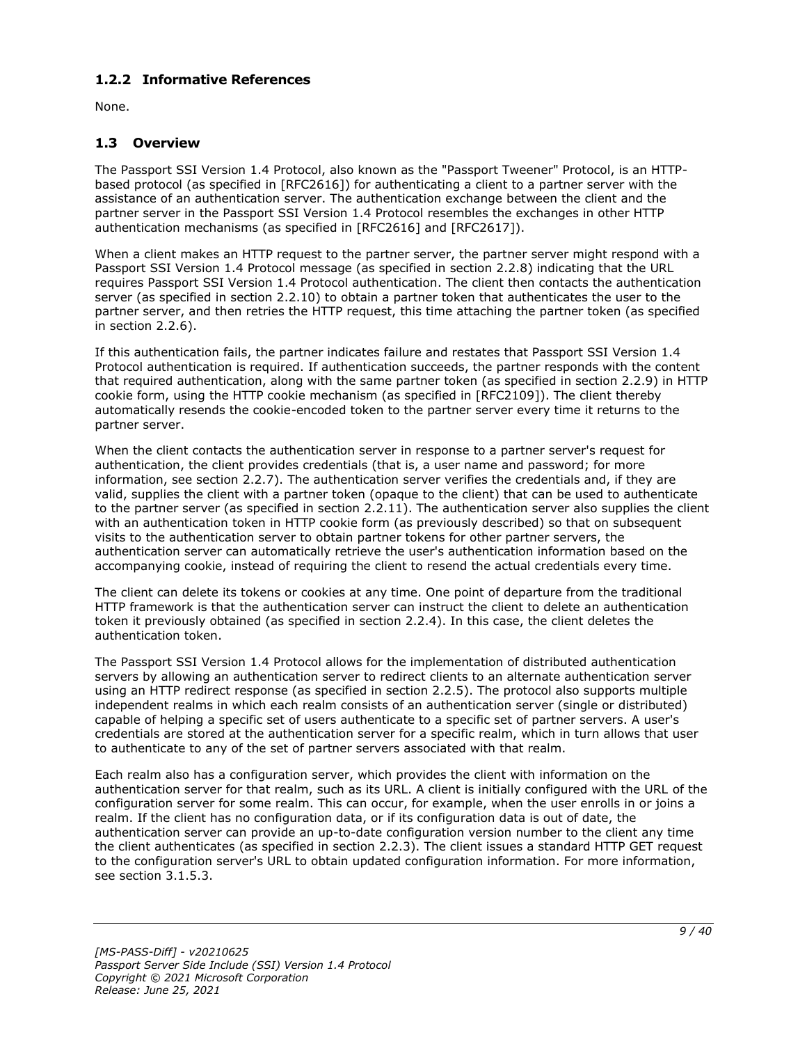# <span id="page-8-0"></span>**1.2.2 Informative References**

None.

# <span id="page-8-1"></span>**1.3 Overview**

The Passport SSI Version 1.4 Protocol, also known as the "Passport Tweener" Protocol, is an HTTPbased protocol (as specified in [RFC2616]) for authenticating a client to a partner server with the assistance of an authentication server. The authentication exchange between the client and the partner server in the Passport SSI Version 1.4 Protocol resembles the exchanges in other HTTP authentication mechanisms (as specified in [RFC2616] and [RFC2617]).

When a client makes an HTTP request to the partner server, the partner server might respond with a Passport SSI Version 1.4 Protocol message (as specified in section 2.2.8) indicating that the URL requires Passport SSI Version 1.4 Protocol authentication. The client then contacts the authentication server (as specified in section 2.2.10) to obtain a partner token that authenticates the user to the partner server, and then retries the HTTP request, this time attaching the partner token (as specified in section 2.2.6).

If this authentication fails, the partner indicates failure and restates that Passport SSI Version 1.4 Protocol authentication is required. If authentication succeeds, the partner responds with the content that required authentication, along with the same partner token (as specified in section 2.2.9) in HTTP cookie form, using the HTTP cookie mechanism (as specified in [RFC2109]). The client thereby automatically resends the cookie-encoded token to the partner server every time it returns to the partner server.

When the client contacts the authentication server in response to a partner server's request for authentication, the client provides credentials (that is, a user name and password; for more information, see section 2.2.7). The authentication server verifies the credentials and, if they are valid, supplies the client with a partner token (opaque to the client) that can be used to authenticate to the partner server (as specified in section 2.2.11). The authentication server also supplies the client with an authentication token in HTTP cookie form (as previously described) so that on subsequent visits to the authentication server to obtain partner tokens for other partner servers, the authentication server can automatically retrieve the user's authentication information based on the accompanying cookie, instead of requiring the client to resend the actual credentials every time.

The client can delete its tokens or cookies at any time. One point of departure from the traditional HTTP framework is that the authentication server can instruct the client to delete an authentication token it previously obtained (as specified in section 2.2.4). In this case, the client deletes the authentication token.

The Passport SSI Version 1.4 Protocol allows for the implementation of distributed authentication servers by allowing an authentication server to redirect clients to an alternate authentication server using an HTTP redirect response (as specified in section 2.2.5). The protocol also supports multiple independent realms in which each realm consists of an authentication server (single or distributed) capable of helping a specific set of users authenticate to a specific set of partner servers. A user's credentials are stored at the authentication server for a specific realm, which in turn allows that user to authenticate to any of the set of partner servers associated with that realm.

Each realm also has a configuration server, which provides the client with information on the authentication server for that realm, such as its URL. A client is initially configured with the URL of the configuration server for some realm. This can occur, for example, when the user enrolls in or joins a realm. If the client has no configuration data, or if its configuration data is out of date, the authentication server can provide an up-to-date configuration version number to the client any time the client authenticates (as specified in section 2.2.3). The client issues a standard HTTP GET request to the configuration server's URL to obtain updated configuration information. For more information, see section 3.1.5.3.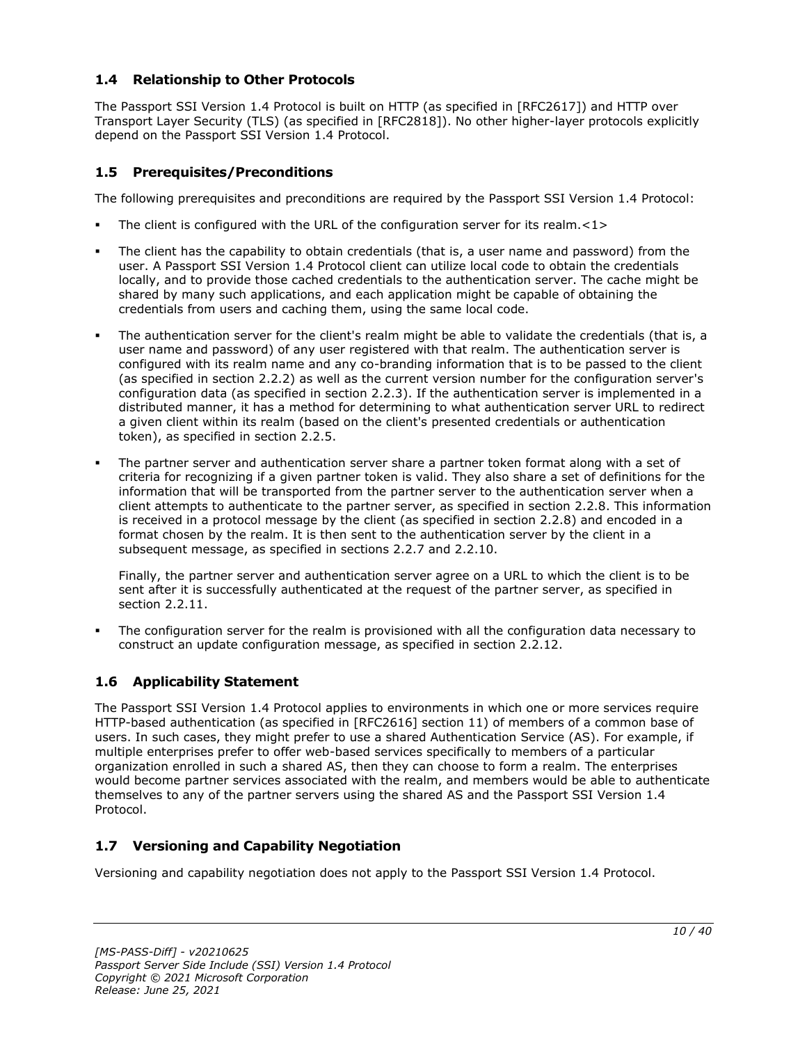# <span id="page-9-0"></span>**1.4 Relationship to Other Protocols**

The Passport SSI Version 1.4 Protocol is built on HTTP (as specified in [RFC2617]) and HTTP over Transport Layer Security (TLS) (as specified in [RFC2818]). No other higher-layer protocols explicitly depend on the Passport SSI Version 1.4 Protocol.

# <span id="page-9-1"></span>**1.5 Prerequisites/Preconditions**

The following prerequisites and preconditions are required by the Passport SSI Version 1.4 Protocol:

- The client is configured with the URL of the configuration server for its realm. $\langle 1 \rangle$
- The client has the capability to obtain credentials (that is, a user name and password) from the user. A Passport SSI Version 1.4 Protocol client can utilize local code to obtain the credentials locally, and to provide those cached credentials to the authentication server. The cache might be shared by many such applications, and each application might be capable of obtaining the credentials from users and caching them, using the same local code.
- The authentication server for the client's realm might be able to validate the credentials (that is, a user name and password) of any user registered with that realm. The authentication server is configured with its realm name and any co-branding information that is to be passed to the client (as specified in section 2.2.2) as well as the current version number for the configuration server's configuration data (as specified in section 2.2.3). If the authentication server is implemented in a distributed manner, it has a method for determining to what authentication server URL to redirect a given client within its realm (based on the client's presented credentials or authentication token), as specified in section 2.2.5.
- The partner server and authentication server share a partner token format along with a set of criteria for recognizing if a given partner token is valid. They also share a set of definitions for the information that will be transported from the partner server to the authentication server when a client attempts to authenticate to the partner server, as specified in section 2.2.8. This information is received in a protocol message by the client (as specified in section 2.2.8) and encoded in a format chosen by the realm. It is then sent to the authentication server by the client in a subsequent message, as specified in sections 2.2.7 and 2.2.10.

Finally, the partner server and authentication server agree on a URL to which the client is to be sent after it is successfully authenticated at the request of the partner server, as specified in section 2.2.11.

The configuration server for the realm is provisioned with all the configuration data necessary to construct an update configuration message, as specified in section 2.2.12.

# <span id="page-9-2"></span>**1.6 Applicability Statement**

The Passport SSI Version 1.4 Protocol applies to environments in which one or more services require HTTP-based authentication (as specified in [RFC2616] section 11) of members of a common base of users. In such cases, they might prefer to use a shared Authentication Service (AS). For example, if multiple enterprises prefer to offer web-based services specifically to members of a particular organization enrolled in such a shared AS, then they can choose to form a realm. The enterprises would become partner services associated with the realm, and members would be able to authenticate themselves to any of the partner servers using the shared AS and the Passport SSI Version 1.4 Protocol.

# <span id="page-9-3"></span>**1.7 Versioning and Capability Negotiation**

Versioning and capability negotiation does not apply to the Passport SSI Version 1.4 Protocol.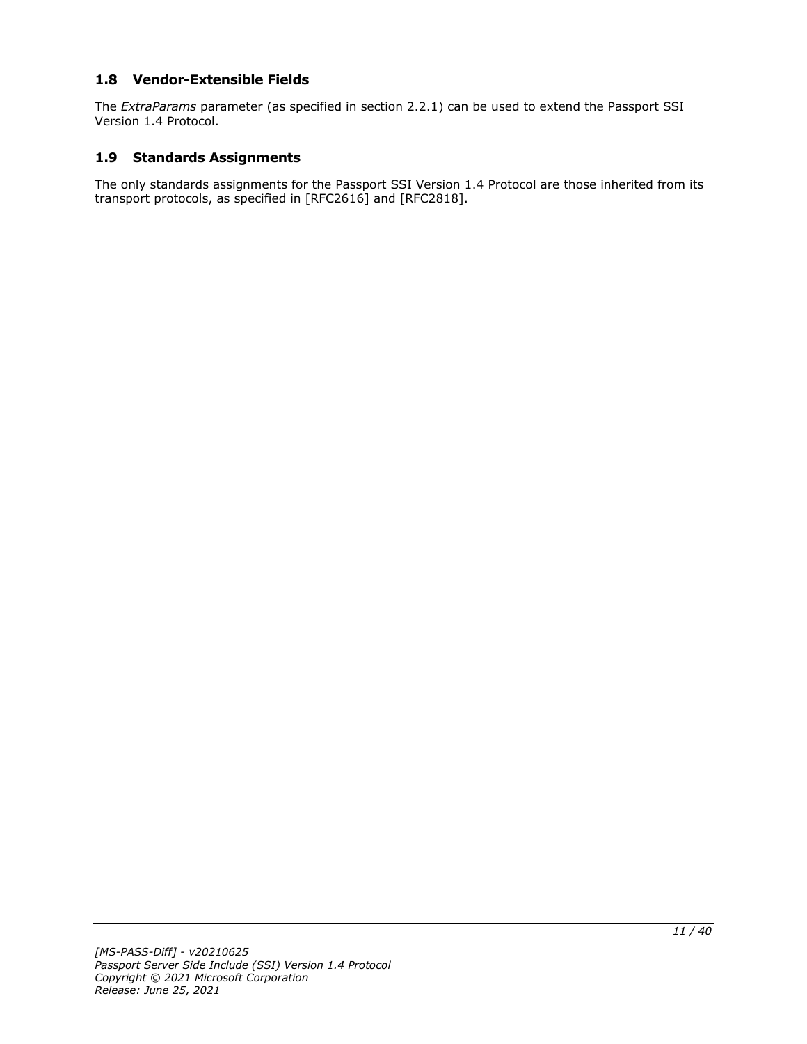# <span id="page-10-0"></span>**1.8 Vendor-Extensible Fields**

The *ExtraParams* parameter (as specified in section 2.2.1) can be used to extend the Passport SSI Version 1.4 Protocol.

#### <span id="page-10-1"></span>**1.9 Standards Assignments**

The only standards assignments for the Passport SSI Version 1.4 Protocol are those inherited from its transport protocols, as specified in [RFC2616] and [RFC2818].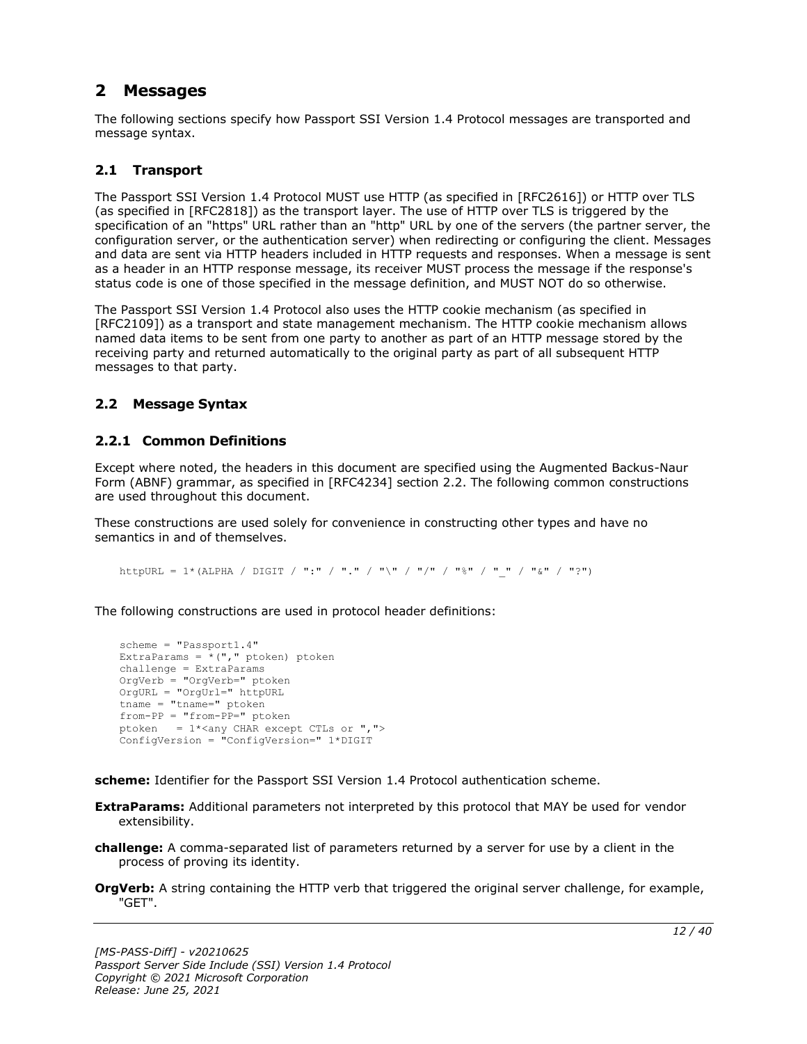# <span id="page-11-0"></span>**2 Messages**

The following sections specify how Passport SSI Version 1.4 Protocol messages are transported and message syntax.

# <span id="page-11-1"></span>**2.1 Transport**

The Passport SSI Version 1.4 Protocol MUST use HTTP (as specified in [RFC2616]) or HTTP over TLS (as specified in [RFC2818]) as the transport layer. The use of HTTP over TLS is triggered by the specification of an "https" URL rather than an "http" URL by one of the servers (the partner server, the configuration server, or the authentication server) when redirecting or configuring the client. Messages and data are sent via HTTP headers included in HTTP requests and responses. When a message is sent as a header in an HTTP response message, its receiver MUST process the message if the response's status code is one of those specified in the message definition, and MUST NOT do so otherwise.

The Passport SSI Version 1.4 Protocol also uses the HTTP cookie mechanism (as specified in [RFC2109]) as a transport and state management mechanism. The HTTP cookie mechanism allows named data items to be sent from one party to another as part of an HTTP message stored by the receiving party and returned automatically to the original party as part of all subsequent HTTP messages to that party.

#### <span id="page-11-2"></span>**2.2 Message Syntax**

# <span id="page-11-3"></span>**2.2.1 Common Definitions**

Except where noted, the headers in this document are specified using the Augmented Backus-Naur Form (ABNF) grammar, as specified in [RFC4234] section 2.2. The following common constructions are used throughout this document.

These constructions are used solely for convenience in constructing other types and have no semantics in and of themselves.

httpURL = 1\*(ALPHA / DIGIT / ":" / "." / "\" / "/" / "%" / " " / "&" / "?")

The following constructions are used in protocol header definitions:

```
scheme = "Passport1.4"
ExtraParams = *(", "ptoken) ptoken
challenge = ExtraParams
OrgVerb = "OrgVerb=" ptoken 
OrgURL = "OrgUrl=" httpURL
tname = "tname="from-PP = "from-PP=" ptoken
ptoken = 1*<any CHAR except CTLs or ",">
ConfigVersion = "ConfigVersion=" 1*DIGIT
```
**scheme:** Identifier for the Passport SSI Version 1.4 Protocol authentication scheme.

- **ExtraParams:** Additional parameters not interpreted by this protocol that MAY be used for vendor extensibility.
- **challenge:** A comma-separated list of parameters returned by a server for use by a client in the process of proving its identity.
- **OrgVerb:** A string containing the HTTP verb that triggered the original server challenge, for example, "GET".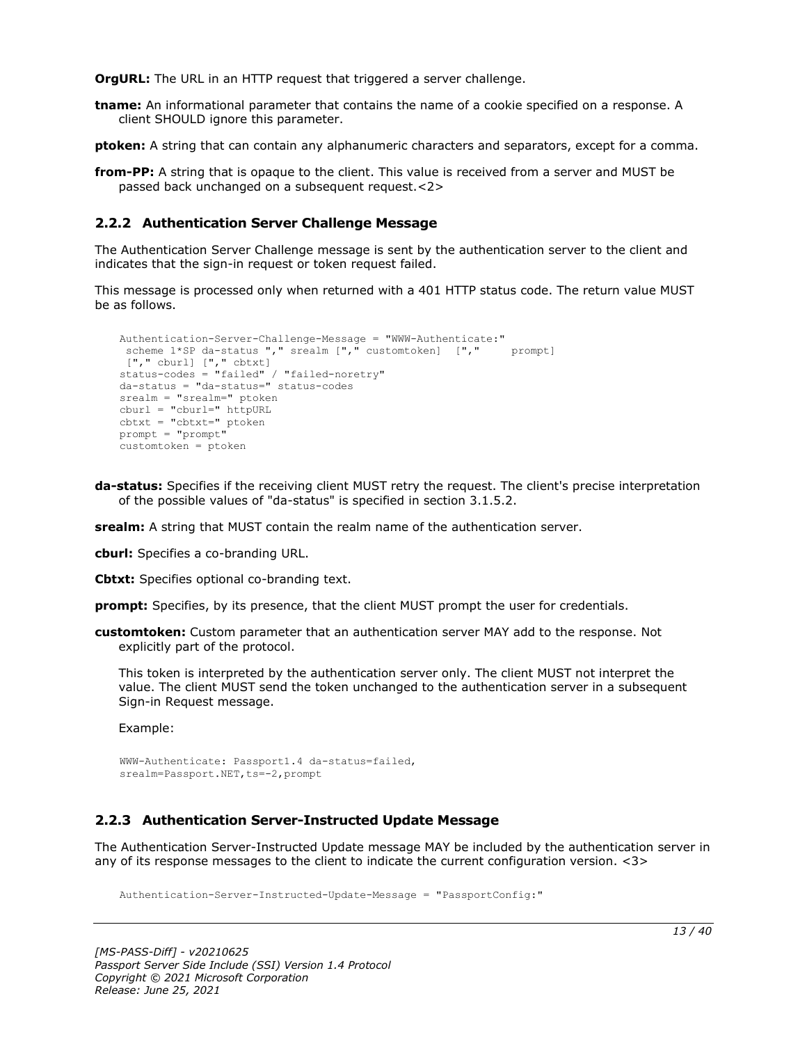**OrgURL:** The URL in an HTTP request that triggered a server challenge.

**tname:** An informational parameter that contains the name of a cookie specified on a response. A client SHOULD ignore this parameter.

**ptoken:** A string that can contain any alphanumeric characters and separators, except for a comma.

**from-PP:** A string that is opaque to the client. This value is received from a server and MUST be passed back unchanged on a subsequent request.<2>

### <span id="page-12-0"></span>**2.2.2 Authentication Server Challenge Message**

The Authentication Server Challenge message is sent by the authentication server to the client and indicates that the sign-in request or token request failed.

This message is processed only when returned with a 401 HTTP status code. The return value MUST be as follows.

```
Authentication-Server-Challenge-Message = "WWW-Authenticate:"
 scheme 1*SP da-status "," srealm ["," customtoken] ["," prompt]
 ["," cburl] ["," cbtxt] 
status-codes = "failed" / "failed-noretry"
da-status = "da-status=" status-codes
srealm = "srealm=" ptoken
cburl = "cburl=" httpURL
cbtxt = "cbtxt=" ptoken
prompt = "prompt"
customtoken = ptoken
```
**da-status:** Specifies if the receiving client MUST retry the request. The client's precise interpretation of the possible values of "da-status" is specified in section 3.1.5.2.

**srealm:** A string that MUST contain the realm name of the authentication server.

**cburl:** Specifies a co-branding URL.

**Cbtxt:** Specifies optional co-branding text.

**prompt:** Specifies, by its presence, that the client MUST prompt the user for credentials.

**customtoken:** Custom parameter that an authentication server MAY add to the response. Not explicitly part of the protocol.

This token is interpreted by the authentication server only. The client MUST not interpret the value. The client MUST send the token unchanged to the authentication server in a subsequent Sign-in Request message.

Example:

```
WWW-Authenticate: Passport1.4 da-status=failed,
srealm=Passport.NET, ts = - 2, prompt
```
# <span id="page-12-1"></span>**2.2.3 Authentication Server-Instructed Update Message**

The Authentication Server-Instructed Update message MAY be included by the authentication server in any of its response messages to the client to indicate the current configuration version. <3>

Authentication-Server-Instructed-Update-Message = "PassportConfig:"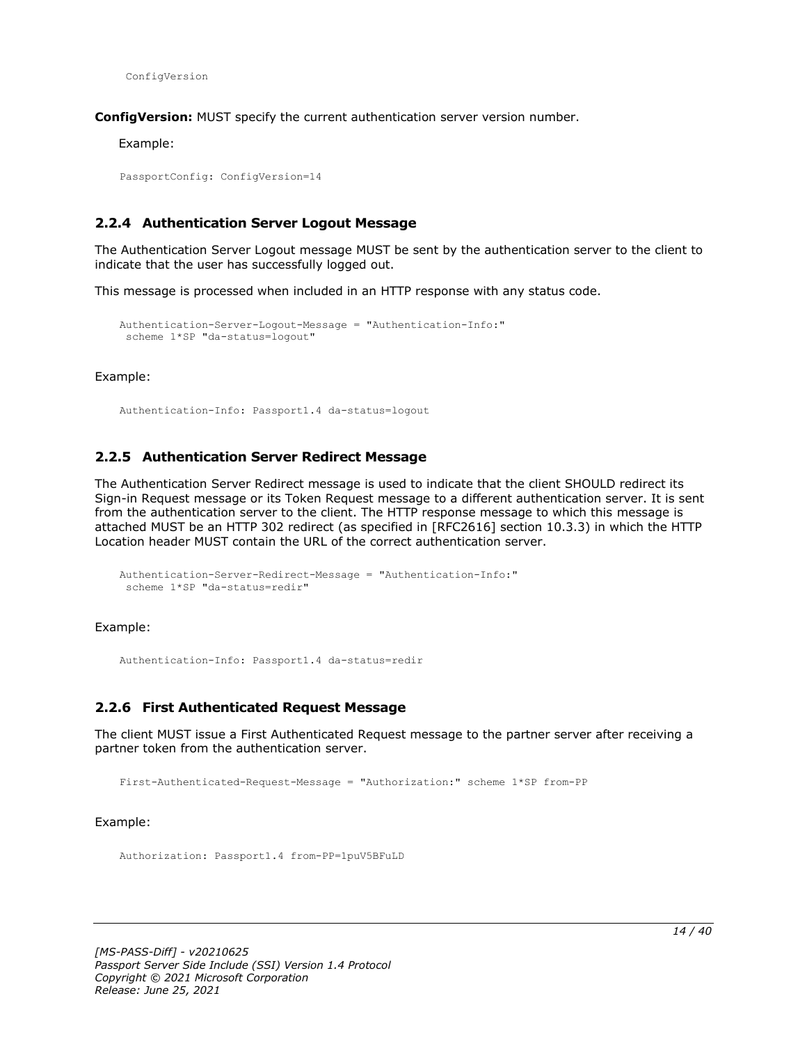ConfigVersion

**ConfigVersion:** MUST specify the current authentication server version number.

Example:

PassportConfig: ConfigVersion=14

#### <span id="page-13-0"></span>**2.2.4 Authentication Server Logout Message**

The Authentication Server Logout message MUST be sent by the authentication server to the client to indicate that the user has successfully logged out.

This message is processed when included in an HTTP response with any status code.

```
Authentication-Server-Logout-Message = "Authentication-Info:"
scheme 1*SP "da-status=logout"
```
Example:

Authentication-Info: Passport1.4 da-status=logout

#### <span id="page-13-1"></span>**2.2.5 Authentication Server Redirect Message**

The Authentication Server Redirect message is used to indicate that the client SHOULD redirect its Sign-in Request message or its Token Request message to a different authentication server. It is sent from the authentication server to the client. The HTTP response message to which this message is attached MUST be an HTTP 302 redirect (as specified in [RFC2616] section 10.3.3) in which the HTTP Location header MUST contain the URL of the correct authentication server.

```
Authentication-Server-Redirect-Message = "Authentication-Info:"
scheme 1*SP "da-status=redir"
```
Example:

Authentication-Info: Passport1.4 da-status=redir

#### <span id="page-13-2"></span>**2.2.6 First Authenticated Request Message**

The client MUST issue a First Authenticated Request message to the partner server after receiving a partner token from the authentication server.

First-Authenticated-Request-Message = "Authorization:" scheme 1\*SP from-PP

#### Example:

Authorization: Passport1.4 from-PP=1puV5BFuLD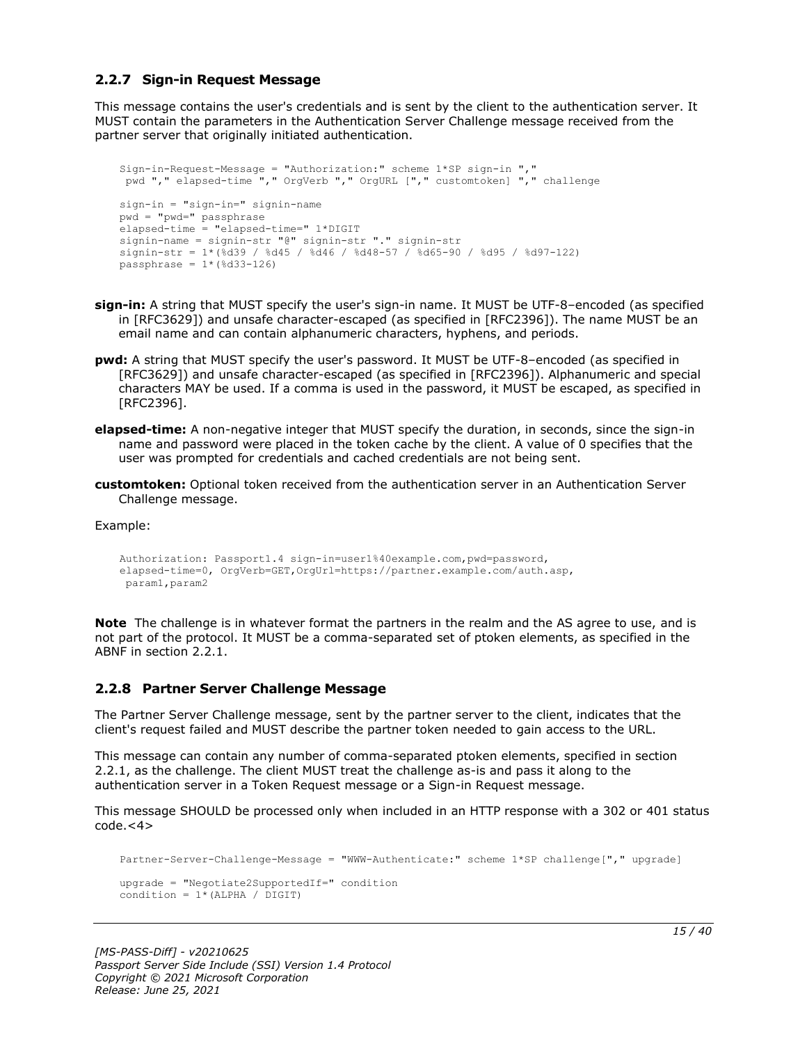#### <span id="page-14-0"></span>**2.2.7 Sign-in Request Message**

This message contains the user's credentials and is sent by the client to the authentication server. It MUST contain the parameters in the Authentication Server Challenge message received from the partner server that originally initiated authentication.

```
Sign-in-Request-Message = "Authorization:" scheme 1*SP sign-in ","
pwd "," elapsed-time "," OrgVerb "," OrgURL ["," customtoken] "," challenge
sign-in = "sign-in=" signin-name
pwd = "pwd=" passphrase
elapsed-time = "elapsed-time=" 1*DIGIT
signin-name = signin-str "@" signin-str "." signin-str
signin-str = 1*(%d39 / %d45 / %d46 / %d48-57 / %d65-90 / %d95 / %d97-122)
passphrase = 1*(%d33-126)
```
- **sign-in:** A string that MUST specify the user's sign-in name. It MUST be UTF-8–encoded (as specified in [RFC3629]) and unsafe character-escaped (as specified in [RFC2396]). The name MUST be an email name and can contain alphanumeric characters, hyphens, and periods.
- **pwd:** A string that MUST specify the user's password. It MUST be UTF-8–encoded (as specified in [RFC3629]) and unsafe character-escaped (as specified in [RFC2396]). Alphanumeric and special characters MAY be used. If a comma is used in the password, it MUST be escaped, as specified in [RFC2396].
- **elapsed-time:** A non-negative integer that MUST specify the duration, in seconds, since the sign-in name and password were placed in the token cache by the client. A value of 0 specifies that the user was prompted for credentials and cached credentials are not being sent.
- **customtoken:** Optional token received from the authentication server in an Authentication Server Challenge message.

Example:

```
Authorization: Passport1.4 sign-in=user1%40example.com,pwd=password,
elapsed-time=0, OrgVerb=GET,OrgUrl=https://partner.example.com/auth.asp,
param1,param2
```
**Note** The challenge is in whatever format the partners in the realm and the AS agree to use, and is not part of the protocol. It MUST be a comma-separated set of ptoken elements, as specified in the ABNF in section 2.2.1.

#### <span id="page-14-1"></span>**2.2.8 Partner Server Challenge Message**

The Partner Server Challenge message, sent by the partner server to the client, indicates that the client's request failed and MUST describe the partner token needed to gain access to the URL.

This message can contain any number of comma-separated ptoken elements, specified in section 2.2.1, as the challenge. The client MUST treat the challenge as-is and pass it along to the authentication server in a Token Request message or a Sign-in Request message.

This message SHOULD be processed only when included in an HTTP response with a 302 or 401 status  $code.<4>$ 

```
Partner-Server-Challenge-Message = "WWW-Authenticate:" scheme 1*SP challenge["," upgrade]
upgrade = "Negotiate2SupportedIf=" condition
condition = 1*(ALPHA / DIGIT)
```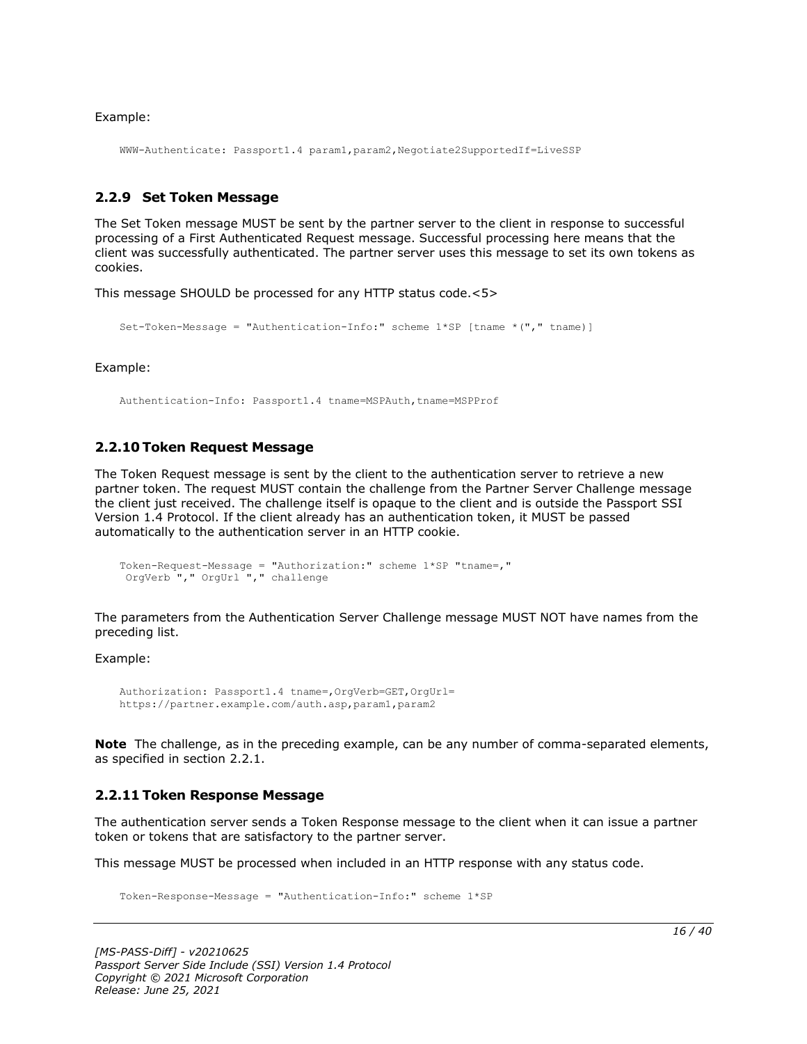Example:

WWW-Authenticate: Passport1.4 param1,param2,Negotiate2SupportedIf=LiveSSP

#### <span id="page-15-0"></span>**2.2.9 Set Token Message**

The Set Token message MUST be sent by the partner server to the client in response to successful processing of a First Authenticated Request message. Successful processing here means that the client was successfully authenticated. The partner server uses this message to set its own tokens as cookies.

This message SHOULD be processed for any HTTP status code.<5>

```
Set-Token-Message = "Authentication-Info:" scheme 1*SP [tname *("," tname)]
```
Example:

Authentication-Info: Passport1.4 tname=MSPAuth,tname=MSPProf

#### <span id="page-15-1"></span>**2.2.10 Token Request Message**

The Token Request message is sent by the client to the authentication server to retrieve a new partner token. The request MUST contain the challenge from the Partner Server Challenge message the client just received. The challenge itself is opaque to the client and is outside the Passport SSI Version 1.4 Protocol. If the client already has an authentication token, it MUST be passed automatically to the authentication server in an HTTP cookie.

```
Token-Request-Message = "Authorization:" scheme 1*SP "tname=,"
OrgVerb "," OrgUrl "," challenge
```
The parameters from the Authentication Server Challenge message MUST NOT have names from the preceding list.

Example:

```
Authorization: Passport1.4 tname=,OrgVerb=GET,OrgUrl=
https://partner.example.com/auth.asp,param1,param2
```
**Note** The challenge, as in the preceding example, can be any number of comma-separated elements, as specified in section 2.2.1.

#### <span id="page-15-2"></span>**2.2.11 Token Response Message**

The authentication server sends a Token Response message to the client when it can issue a partner token or tokens that are satisfactory to the partner server.

This message MUST be processed when included in an HTTP response with any status code.

Token-Response-Message = "Authentication-Info:" scheme 1\*SP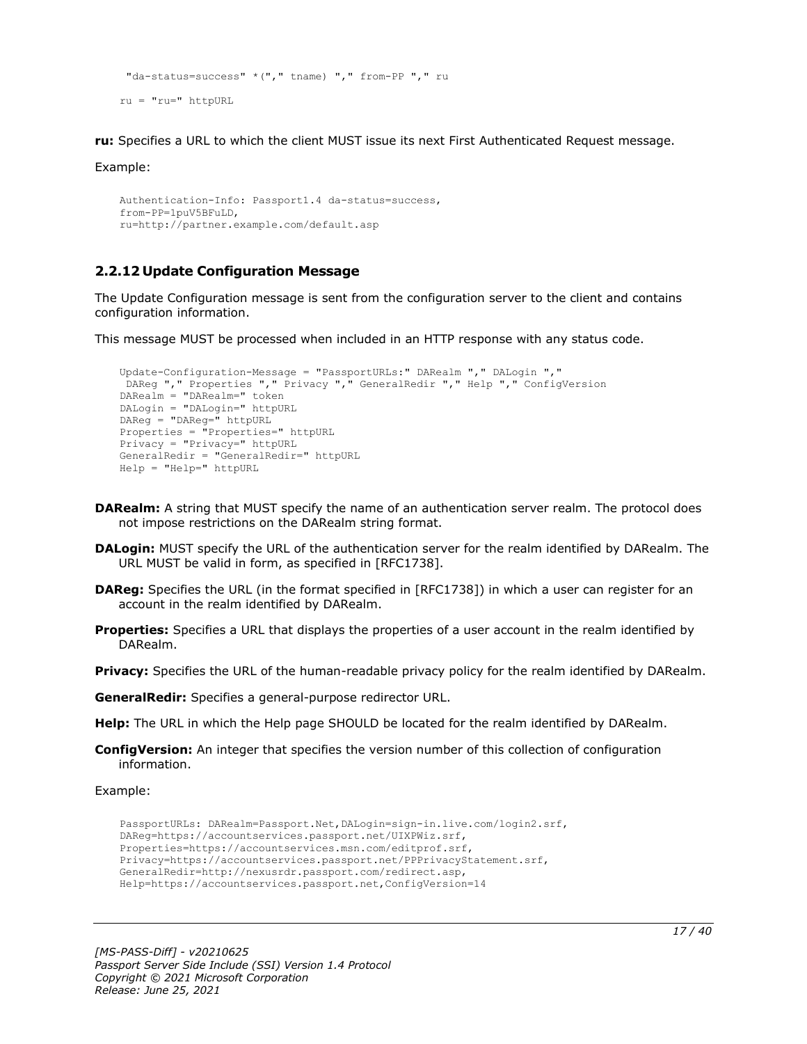```
"da-status=success" *("," tname) "," from-PP "," ru
ru = "ru=" httpURL
```
**ru:** Specifies a URL to which the client MUST issue its next First Authenticated Request message.

Example:

```
Authentication-Info: Passport1.4 da-status=success,
from-PP=1puV5BFuLD,
ru=http://partner.example.com/default.asp
```
# <span id="page-16-0"></span>**2.2.12 Update Configuration Message**

The Update Configuration message is sent from the configuration server to the client and contains configuration information.

This message MUST be processed when included in an HTTP response with any status code.

```
Update-Configuration-Message = "PassportURLs:" DARealm "," DALogin ","
DAReg "," Properties "," Privacy "," GeneralRedir "," Help "," ConfigVersion
DARealm = "DARealm=" token
DALogin = "DALogin=" httpURL
DAReg = "DAReg=" httpURL
Properties = "Properties=" httpURL
Privacy = "Privacy=" httpURL
GeneralRedir = "GeneralRedir=" httpURL
Help = "Help=" httpURL
```
- **DARealm:** A string that MUST specify the name of an authentication server realm. The protocol does not impose restrictions on the DARealm string format.
- **DALogin:** MUST specify the URL of the authentication server for the realm identified by DARealm. The URL MUST be valid in form, as specified in [RFC1738].
- **DAReg:** Specifies the URL (in the format specified in [RFC1738]) in which a user can register for an account in the realm identified by DARealm.
- **Properties:** Specifies a URL that displays the properties of a user account in the realm identified by DARealm.

**Privacy:** Specifies the URL of the human-readable privacy policy for the realm identified by DARealm.

**GeneralRedir:** Specifies a general-purpose redirector URL.

**Help:** The URL in which the Help page SHOULD be located for the realm identified by DARealm.

**ConfigVersion:** An integer that specifies the version number of this collection of configuration information.

Example:

```
PassportURLs: DARealm=Passport.Net,DALogin=sign-in.live.com/login2.srf,
DAReg=https://accountservices.passport.net/UIXPWiz.srf,
Properties=https://accountservices.msn.com/editprof.srf,
Privacy=https://accountservices.passport.net/PPPrivacyStatement.srf,
GeneralRedir=http://nexusrdr.passport.com/redirect.asp,
Help=https://accountservices.passport.net,ConfigVersion=14
```
*[MS-PASS-Diff] - v20210625 Passport Server Side Include (SSI) Version 1.4 Protocol Copyright © 2021 Microsoft Corporation Release: June 25, 2021*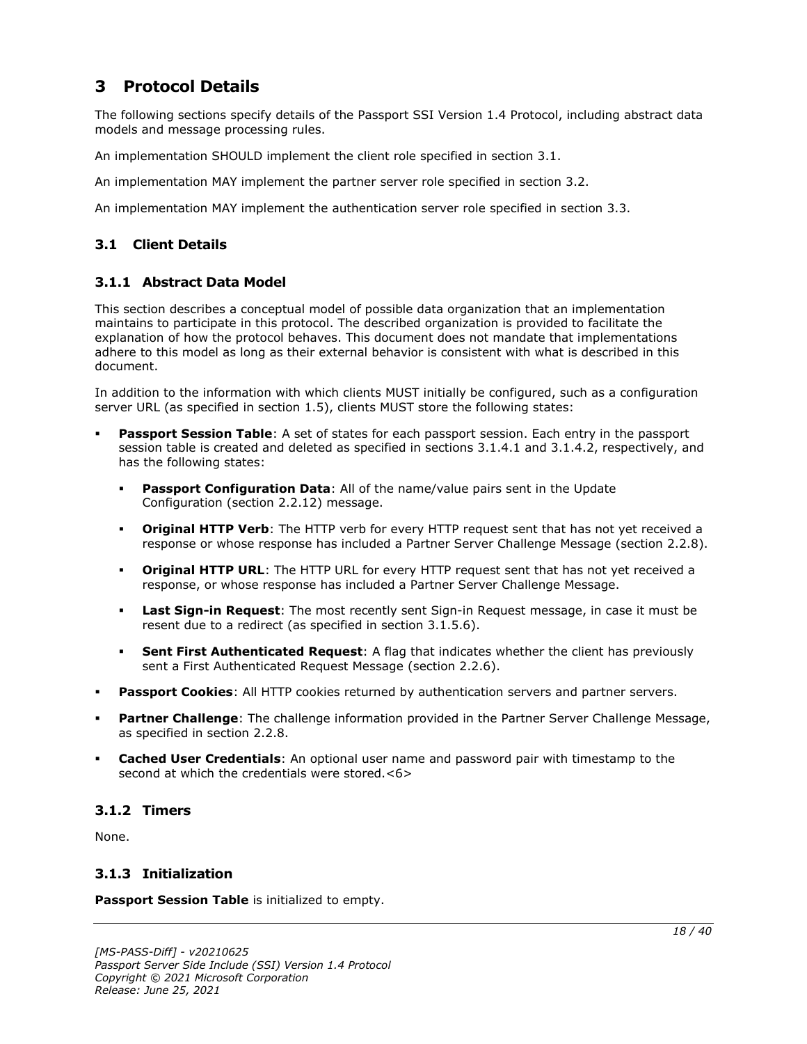# <span id="page-17-0"></span>**3 Protocol Details**

The following sections specify details of the Passport SSI Version 1.4 Protocol, including abstract data models and message processing rules.

An implementation SHOULD implement the client role specified in section 3.1.

An implementation MAY implement the partner server role specified in section 3.2.

An implementation MAY implement the authentication server role specified in section 3.3.

# <span id="page-17-1"></span>**3.1 Client Details**

# <span id="page-17-2"></span>**3.1.1 Abstract Data Model**

This section describes a conceptual model of possible data organization that an implementation maintains to participate in this protocol. The described organization is provided to facilitate the explanation of how the protocol behaves. This document does not mandate that implementations adhere to this model as long as their external behavior is consistent with what is described in this document.

In addition to the information with which clients MUST initially be configured, such as a configuration server URL (as specified in section 1.5), clients MUST store the following states:

- **Passport Session Table**: A set of states for each passport session. Each entry in the passport session table is created and deleted as specified in sections 3.1.4.1 and 3.1.4.2, respectively, and has the following states:
	- **Passport Configuration Data**: All of the name/value pairs sent in the Update Configuration (section 2.2.12) message.
	- **Original HTTP Verb**: The HTTP verb for every HTTP request sent that has not yet received a response or whose response has included a Partner Server Challenge Message (section 2.2.8).
	- **Original HTTP URL**: The HTTP URL for every HTTP request sent that has not yet received a response, or whose response has included a Partner Server Challenge Message.
	- **Last Sign-in Request**: The most recently sent Sign-in Request message, in case it must be resent due to a redirect (as specified in section 3.1.5.6).
	- **Sent First Authenticated Request**: A flag that indicates whether the client has previously sent a First Authenticated Request Message (section 2.2.6).
- **Passport Cookies:** All HTTP cookies returned by authentication servers and partner servers.
- Partner Challenge: The challenge information provided in the Partner Server Challenge Message, as specified in section 2.2.8.
- **Cached User Credentials:** An optional user name and password pair with timestamp to the second at which the credentials were stored.<6>

# <span id="page-17-3"></span>**3.1.2 Timers**

None.

# <span id="page-17-4"></span>**3.1.3 Initialization**

**Passport Session Table** is initialized to empty.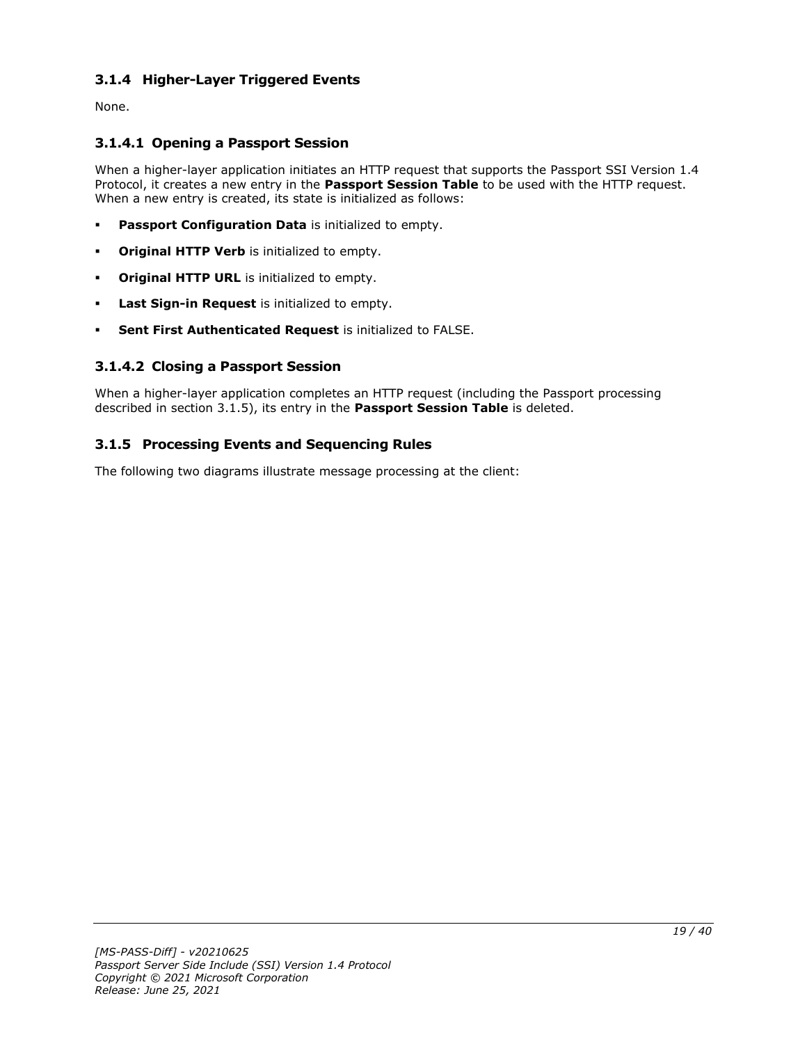# <span id="page-18-0"></span>**3.1.4 Higher-Layer Triggered Events**

None.

# <span id="page-18-1"></span>**3.1.4.1 Opening a Passport Session**

When a higher-layer application initiates an HTTP request that supports the Passport SSI Version 1.4 Protocol, it creates a new entry in the **Passport Session Table** to be used with the HTTP request. When a new entry is created, its state is initialized as follows:

- **Passport Configuration Data** is initialized to empty.
- **Original HTTP Verb** is initialized to empty.
- **Original HTTP URL** is initialized to empty.
- Last Sign-in Request is initialized to empty.
- **Sent First Authenticated Request** is initialized to FALSE.

# <span id="page-18-2"></span>**3.1.4.2 Closing a Passport Session**

When a higher-layer application completes an HTTP request (including the Passport processing described in section 3.1.5), its entry in the **Passport Session Table** is deleted.

# <span id="page-18-3"></span>**3.1.5 Processing Events and Sequencing Rules**

The following two diagrams illustrate message processing at the client: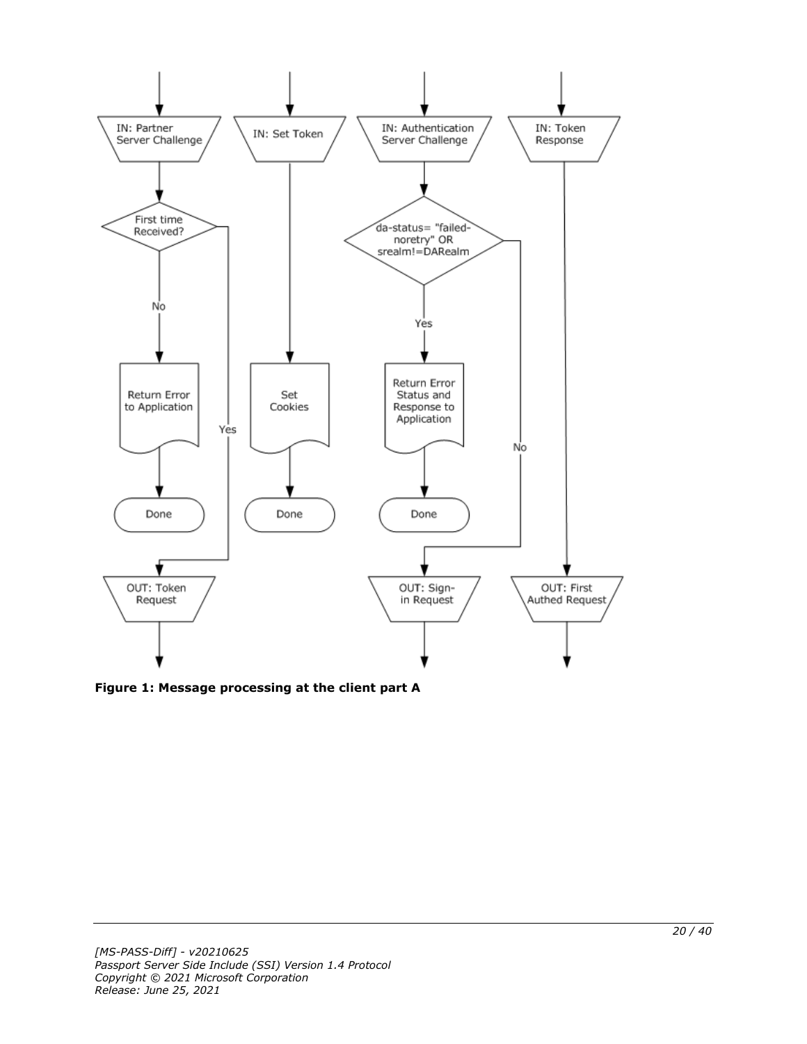

**Figure 1: Message processing at the client part A**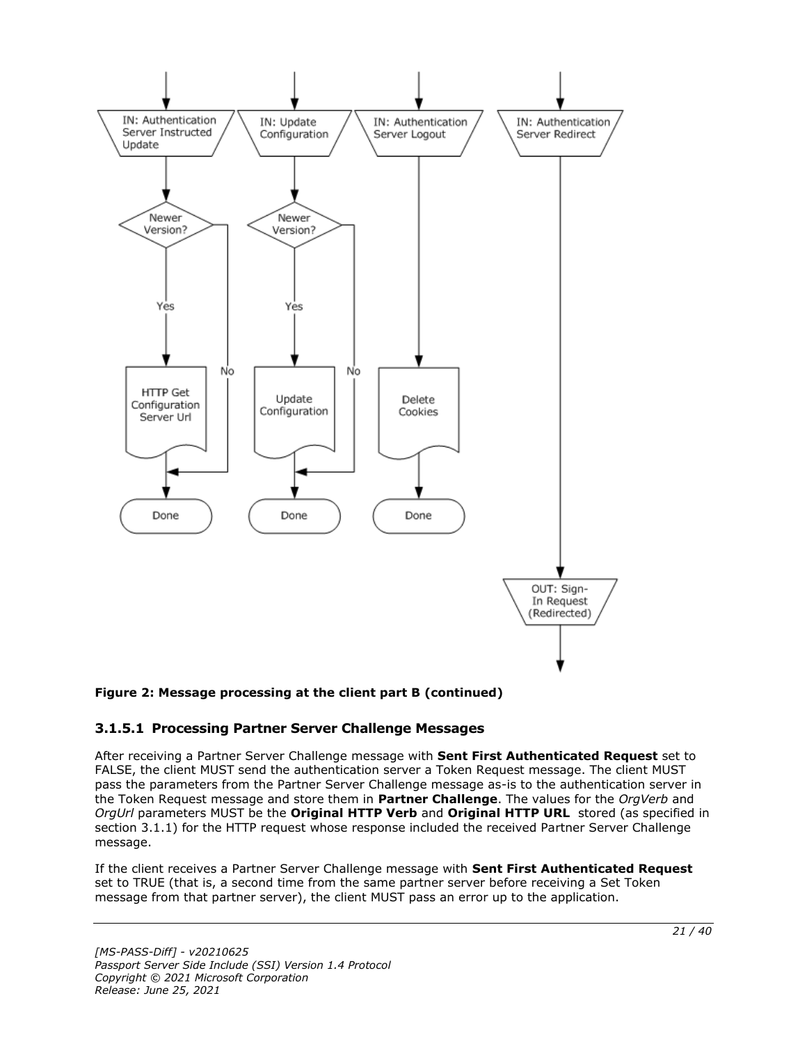

#### **Figure 2: Message processing at the client part B (continued)**

#### <span id="page-20-0"></span>**3.1.5.1 Processing Partner Server Challenge Messages**

After receiving a Partner Server Challenge message with **Sent First Authenticated Request** set to FALSE, the client MUST send the authentication server a Token Request message. The client MUST pass the parameters from the Partner Server Challenge message as-is to the authentication server in the Token Request message and store them in **Partner Challenge**. The values for the *OrgVerb* and *OrgUrl* parameters MUST be the **Original HTTP Verb** and **Original HTTP URL** stored (as specified in section 3.1.1) for the HTTP request whose response included the received Partner Server Challenge message.

If the client receives a Partner Server Challenge message with **Sent First Authenticated Request** set to TRUE (that is, a second time from the same partner server before receiving a Set Token message from that partner server), the client MUST pass an error up to the application.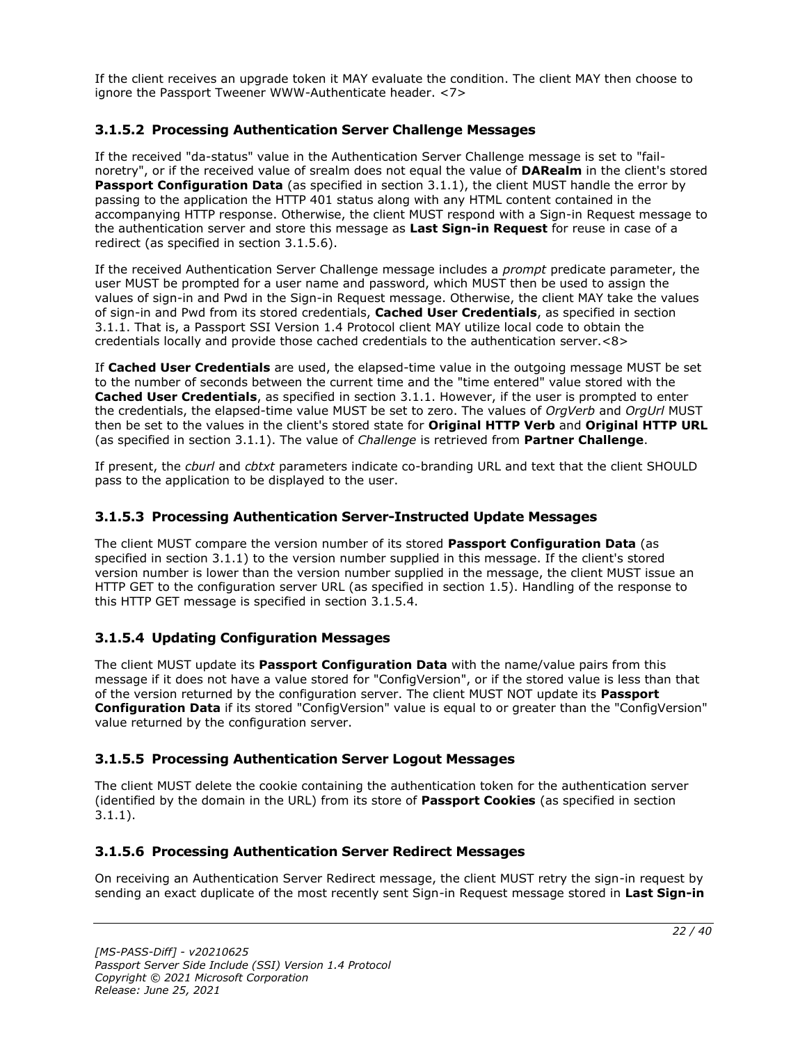If the client receives an upgrade token it MAY evaluate the condition. The client MAY then choose to ignore the Passport Tweener WWW-Authenticate header. <7>

# <span id="page-21-0"></span>**3.1.5.2 Processing Authentication Server Challenge Messages**

If the received "da-status" value in the Authentication Server Challenge message is set to "failnoretry", or if the received value of srealm does not equal the value of **DARealm** in the client's stored Passport Configuration Data (as specified in section 3.1.1), the client MUST handle the error by passing to the application the HTTP 401 status along with any HTML content contained in the accompanying HTTP response. Otherwise, the client MUST respond with a Sign-in Request message to the authentication server and store this message as **Last Sign-in Request** for reuse in case of a redirect (as specified in section 3.1.5.6).

If the received Authentication Server Challenge message includes a *prompt* predicate parameter, the user MUST be prompted for a user name and password, which MUST then be used to assign the values of sign-in and Pwd in the Sign-in Request message. Otherwise, the client MAY take the values of sign-in and Pwd from its stored credentials, **Cached User Credentials**, as specified in section 3.1.1. That is, a Passport SSI Version 1.4 Protocol client MAY utilize local code to obtain the credentials locally and provide those cached credentials to the authentication server.<8>

If **Cached User Credentials** are used, the elapsed-time value in the outgoing message MUST be set to the number of seconds between the current time and the "time entered" value stored with the **Cached User Credentials**, as specified in section 3.1.1. However, if the user is prompted to enter the credentials, the elapsed-time value MUST be set to zero. The values of *OrgVerb* and *OrgUrl* MUST then be set to the values in the client's stored state for **Original HTTP Verb** and **Original HTTP URL** (as specified in section 3.1.1). The value of *Challenge* is retrieved from **Partner Challenge**.

If present, the *cburl* and *cbtxt* parameters indicate co-branding URL and text that the client SHOULD pass to the application to be displayed to the user.

# <span id="page-21-1"></span>**3.1.5.3 Processing Authentication Server-Instructed Update Messages**

The client MUST compare the version number of its stored **Passport Configuration Data** (as specified in section 3.1.1) to the version number supplied in this message. If the client's stored version number is lower than the version number supplied in the message, the client MUST issue an HTTP GET to the configuration server URL (as specified in section 1.5). Handling of the response to this HTTP GET message is specified in section 3.1.5.4.

# <span id="page-21-2"></span>**3.1.5.4 Updating Configuration Messages**

The client MUST update its **Passport Configuration Data** with the name/value pairs from this message if it does not have a value stored for "ConfigVersion", or if the stored value is less than that of the version returned by the configuration server. The client MUST NOT update its **Passport Configuration Data** if its stored "ConfigVersion" value is equal to or greater than the "ConfigVersion" value returned by the configuration server.

#### <span id="page-21-3"></span>**3.1.5.5 Processing Authentication Server Logout Messages**

The client MUST delete the cookie containing the authentication token for the authentication server (identified by the domain in the URL) from its store of **Passport Cookies** (as specified in section 3.1.1).

# <span id="page-21-4"></span>**3.1.5.6 Processing Authentication Server Redirect Messages**

On receiving an Authentication Server Redirect message, the client MUST retry the sign-in request by sending an exact duplicate of the most recently sent Sign-in Request message stored in **Last Sign-in**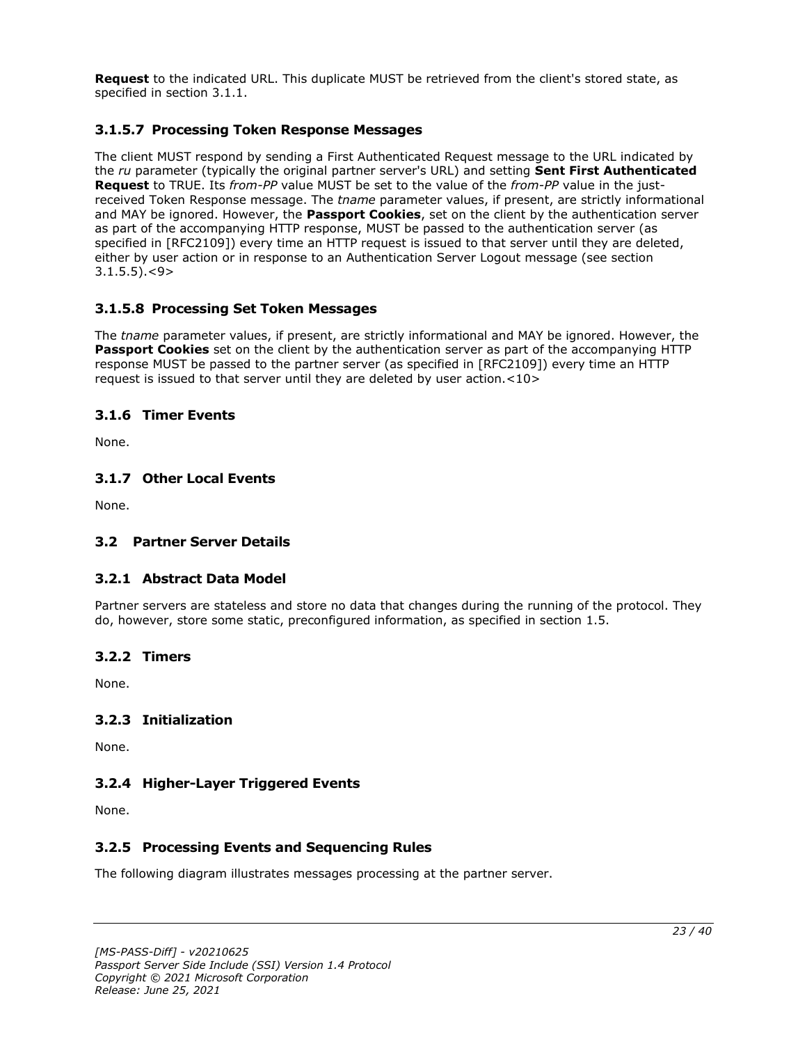**Request** to the indicated URL. This duplicate MUST be retrieved from the client's stored state, as specified in section 3.1.1.

# <span id="page-22-0"></span>**3.1.5.7 Processing Token Response Messages**

The client MUST respond by sending a First Authenticated Request message to the URL indicated by the *ru* parameter (typically the original partner server's URL) and setting **Sent First Authenticated Request** to TRUE. Its *from-PP* value MUST be set to the value of the *from-PP* value in the justreceived Token Response message. The *tname* parameter values, if present, are strictly informational and MAY be ignored. However, the **Passport Cookies**, set on the client by the authentication server as part of the accompanying HTTP response, MUST be passed to the authentication server (as specified in [RFC2109]) every time an HTTP request is issued to that server until they are deleted, either by user action or in response to an Authentication Server Logout message (see section  $3.1.5.5$ ). $<$ 9>

# <span id="page-22-1"></span>**3.1.5.8 Processing Set Token Messages**

The *tname* parameter values, if present, are strictly informational and MAY be ignored. However, the **Passport Cookies** set on the client by the authentication server as part of the accompanying HTTP response MUST be passed to the partner server (as specified in [RFC2109]) every time an HTTP request is issued to that server until they are deleted by user action.<10>

#### <span id="page-22-2"></span>**3.1.6 Timer Events**

None.

#### <span id="page-22-3"></span>**3.1.7 Other Local Events**

None.

#### <span id="page-22-5"></span><span id="page-22-4"></span>**3.2 Partner Server Details**

#### **3.2.1 Abstract Data Model**

Partner servers are stateless and store no data that changes during the running of the protocol. They do, however, store some static, preconfigured information, as specified in section 1.5.

#### <span id="page-22-6"></span>**3.2.2 Timers**

None.

#### <span id="page-22-7"></span>**3.2.3 Initialization**

None.

#### <span id="page-22-8"></span>**3.2.4 Higher-Layer Triggered Events**

None.

### <span id="page-22-9"></span>**3.2.5 Processing Events and Sequencing Rules**

The following diagram illustrates messages processing at the partner server.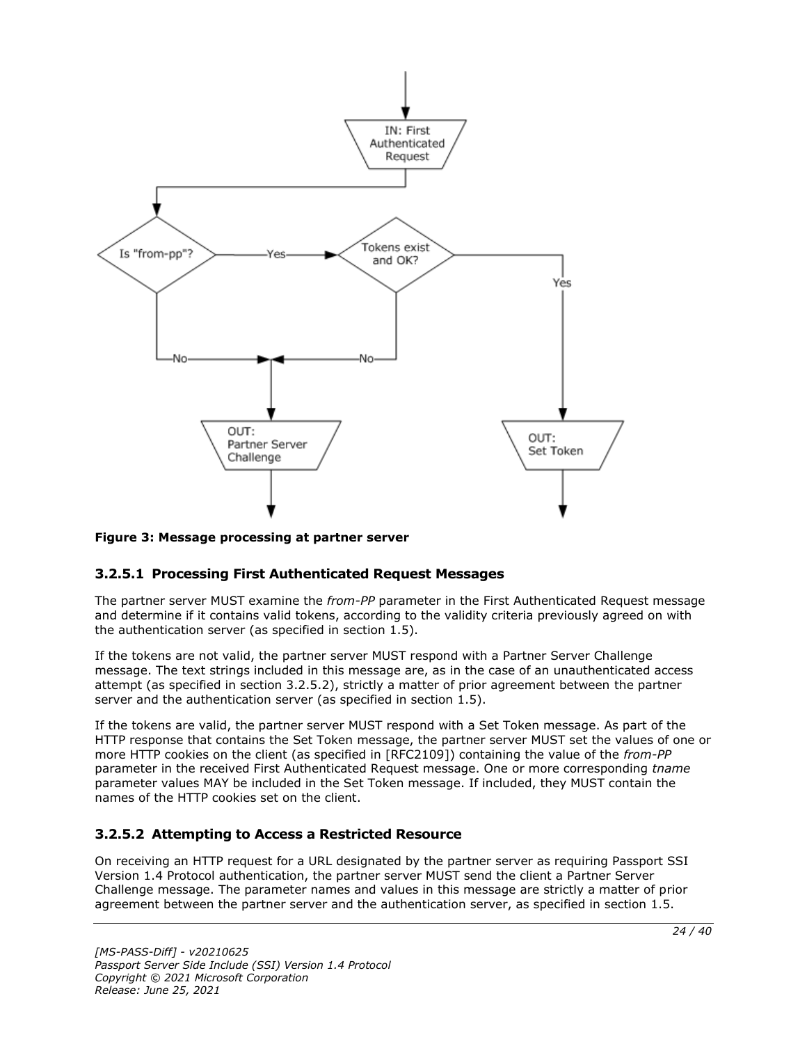

#### **Figure 3: Message processing at partner server**

#### <span id="page-23-0"></span>**3.2.5.1 Processing First Authenticated Request Messages**

The partner server MUST examine the *from-PP* parameter in the First Authenticated Request message and determine if it contains valid tokens, according to the validity criteria previously agreed on with the authentication server (as specified in section  $1.5$ ).

If the tokens are not valid, the partner server MUST respond with a Partner Server Challenge message. The text strings included in this message are, as in the case of an unauthenticated access attempt (as specified in section 3.2.5.2), strictly a matter of prior agreement between the partner server and the authentication server (as specified in section 1.5).

If the tokens are valid, the partner server MUST respond with a Set Token message. As part of the HTTP response that contains the Set Token message, the partner server MUST set the values of one or more HTTP cookies on the client (as specified in [RFC2109]) containing the value of the *from-PP* parameter in the received First Authenticated Request message. One or more corresponding *tname* parameter values MAY be included in the Set Token message. If included, they MUST contain the names of the HTTP cookies set on the client.

# <span id="page-23-1"></span>**3.2.5.2 Attempting to Access a Restricted Resource**

On receiving an HTTP request for a URL designated by the partner server as requiring Passport SSI Version 1.4 Protocol authentication, the partner server MUST send the client a Partner Server Challenge message. The parameter names and values in this message are strictly a matter of prior agreement between the partner server and the authentication server, as specified in section 1.5.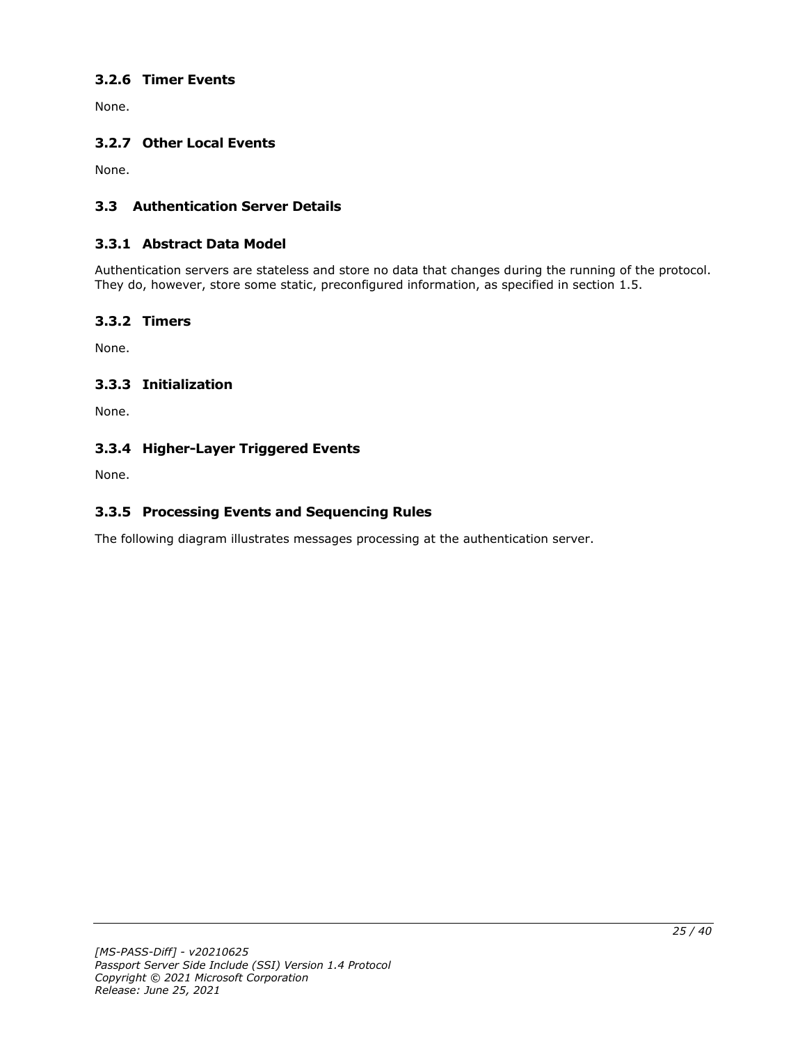# <span id="page-24-0"></span>**3.2.6 Timer Events**

None.

# <span id="page-24-1"></span>**3.2.7 Other Local Events**

None.

# <span id="page-24-2"></span>**3.3 Authentication Server Details**

#### <span id="page-24-3"></span>**3.3.1 Abstract Data Model**

Authentication servers are stateless and store no data that changes during the running of the protocol. They do, however, store some static, preconfigured information, as specified in section 1.5.

#### <span id="page-24-4"></span>**3.3.2 Timers**

None.

# <span id="page-24-5"></span>**3.3.3 Initialization**

None.

# <span id="page-24-6"></span>**3.3.4 Higher-Layer Triggered Events**

None.

# <span id="page-24-7"></span>**3.3.5 Processing Events and Sequencing Rules**

The following diagram illustrates messages processing at the authentication server.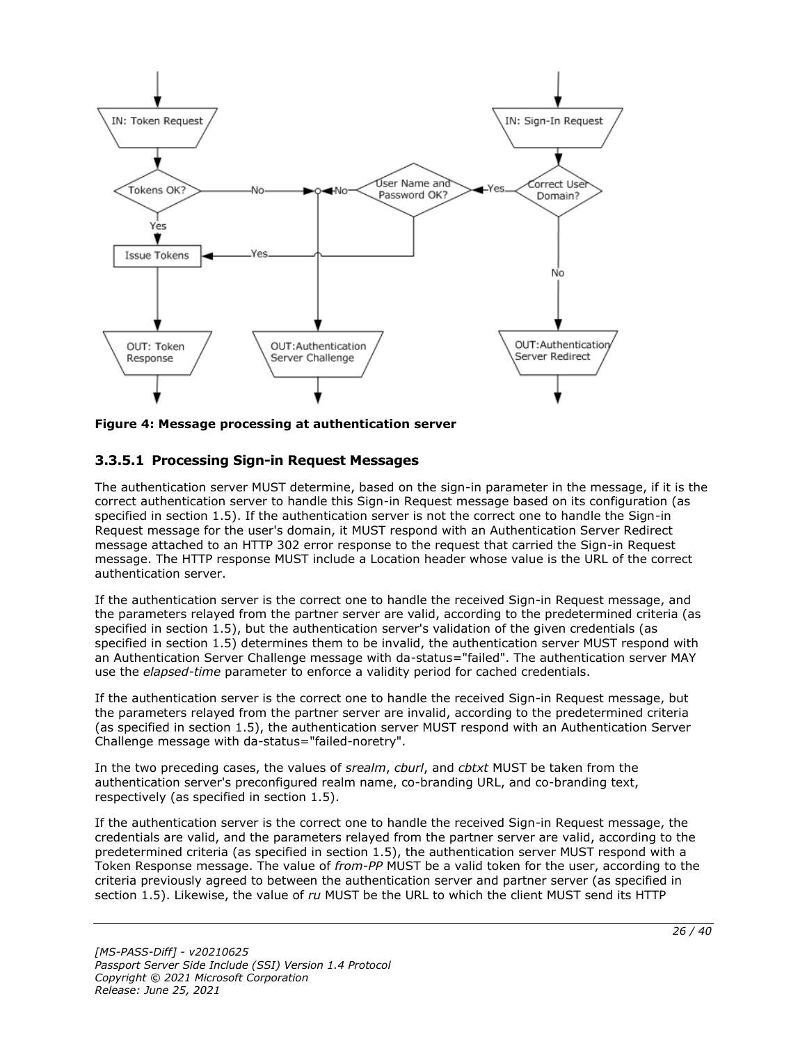

**Figure 4: Message processing at authentication server**

# <span id="page-25-0"></span>**3.3.5.1 Processing Sign-in Request Messages**

The authentication server MUST determine, based on the sign-in parameter in the message, if it is the correct authentication server to handle this Sign-in Request message based on its configuration (as specified in section 1.5). If the authentication server is not the correct one to handle the Sign-in Request message for the user's domain, it MUST respond with an Authentication Server Redirect message attached to an HTTP 302 error response to the request that carried the Sign-in Request message. The HTTP response MUST include a Location header whose value is the URL of the correct authentication server.

If the authentication server is the correct one to handle the received Sign-in Request message, and the parameters relayed from the partner server are valid, according to the predetermined criteria (as specified in section 1.5), but the authentication server's validation of the given credentials (as specified in section 1.5) determines them to be invalid, the authentication server MUST respond with an Authentication Server Challenge message with da-status="failed". The authentication server MAY use the *elapsed-time* parameter to enforce a validity period for cached credentials.

If the authentication server is the correct one to handle the received Sign-in Request message, but the parameters relayed from the partner server are invalid, according to the predetermined criteria (as specified in section 1.5), the authentication server MUST respond with an Authentication Server Challenge message with da-status="failed-noretry".

In the two preceding cases, the values of *srealm*, *cburl*, and *cbtxt* MUST be taken from the authentication server's preconfigured realm name, co-branding URL, and co-branding text, respectively (as specified in section 1.5).

If the authentication server is the correct one to handle the received Sign-in Request message, the credentials are valid, and the parameters relayed from the partner server are valid, according to the predetermined criteria (as specified in section 1.5), the authentication server MUST respond with a Token Response message. The value of *from-PP* MUST be a valid token for the user, according to the criteria previously agreed to between the authentication server and partner server (as specified in section 1.5). Likewise, the value of *ru* MUST be the URL to which the client MUST send its HTTP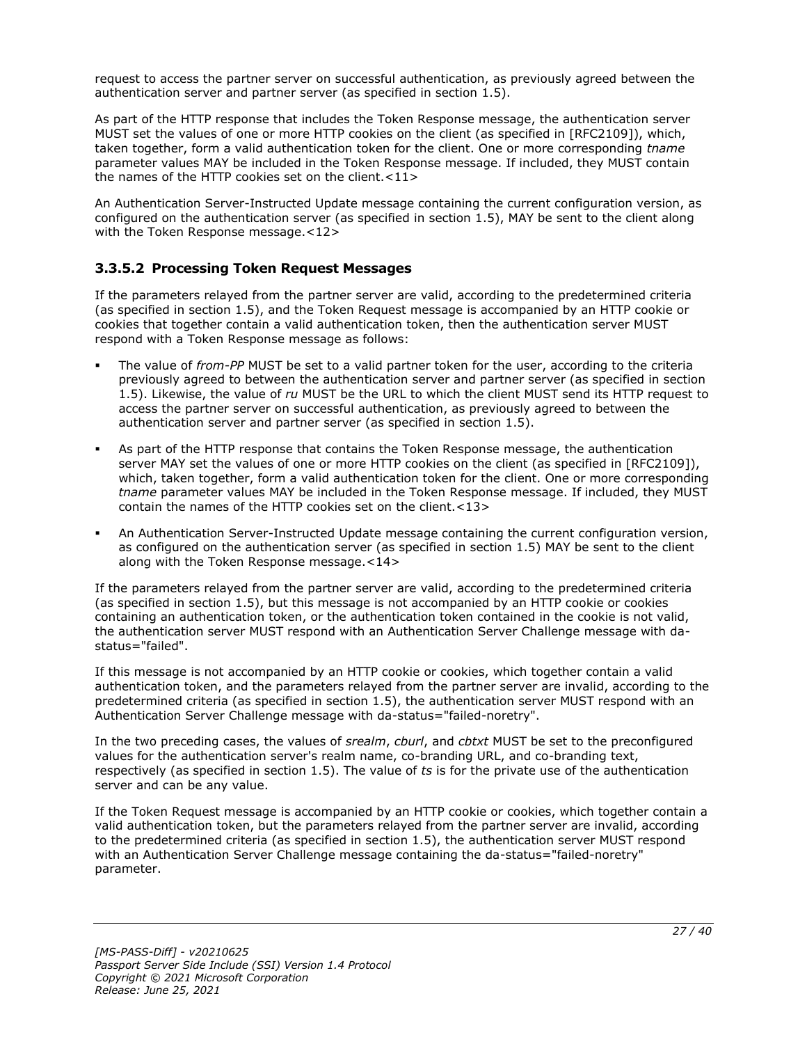request to access the partner server on successful authentication, as previously agreed between the authentication server and partner server (as specified in section 1.5).

As part of the HTTP response that includes the Token Response message, the authentication server MUST set the values of one or more HTTP cookies on the client (as specified in [RFC2109]), which, taken together, form a valid authentication token for the client. One or more corresponding *tname* parameter values MAY be included in the Token Response message. If included, they MUST contain the names of the HTTP cookies set on the client.<11>

An Authentication Server-Instructed Update message containing the current configuration version, as configured on the authentication server (as specified in section 1.5), MAY be sent to the client along with the Token Response message.<12>

# <span id="page-26-0"></span>**3.3.5.2 Processing Token Request Messages**

If the parameters relayed from the partner server are valid, according to the predetermined criteria (as specified in section 1.5), and the Token Request message is accompanied by an HTTP cookie or cookies that together contain a valid authentication token, then the authentication server MUST respond with a Token Response message as follows:

- The value of *from-PP* MUST be set to a valid partner token for the user, according to the criteria previously agreed to between the authentication server and partner server (as specified in section 1.5). Likewise, the value of *ru* MUST be the URL to which the client MUST send its HTTP request to access the partner server on successful authentication, as previously agreed to between the authentication server and partner server (as specified in section 1.5).
- As part of the HTTP response that contains the Token Response message, the authentication server MAY set the values of one or more HTTP cookies on the client (as specified in [RFC2109]), which, taken together, form a valid authentication token for the client. One or more corresponding *tname* parameter values MAY be included in the Token Response message. If included, they MUST contain the names of the HTTP cookies set on the client.<13>
- An Authentication Server-Instructed Update message containing the current configuration version, as configured on the authentication server (as specified in section 1.5) MAY be sent to the client along with the Token Response message.<14>

If the parameters relayed from the partner server are valid, according to the predetermined criteria (as specified in section 1.5), but this message is not accompanied by an HTTP cookie or cookies containing an authentication token, or the authentication token contained in the cookie is not valid, the authentication server MUST respond with an Authentication Server Challenge message with dastatus="failed".

If this message is not accompanied by an HTTP cookie or cookies, which together contain a valid authentication token, and the parameters relayed from the partner server are invalid, according to the predetermined criteria (as specified in section 1.5), the authentication server MUST respond with an Authentication Server Challenge message with da-status="failed-noretry".

In the two preceding cases, the values of *srealm*, *cburl*, and *cbtxt* MUST be set to the preconfigured values for the authentication server's realm name, co-branding URL, and co-branding text, respectively (as specified in section 1.5). The value of *ts* is for the private use of the authentication server and can be any value.

If the Token Request message is accompanied by an HTTP cookie or cookies, which together contain a valid authentication token, but the parameters relayed from the partner server are invalid, according to the predetermined criteria (as specified in section 1.5), the authentication server MUST respond with an Authentication Server Challenge message containing the da-status="failed-noretry" parameter.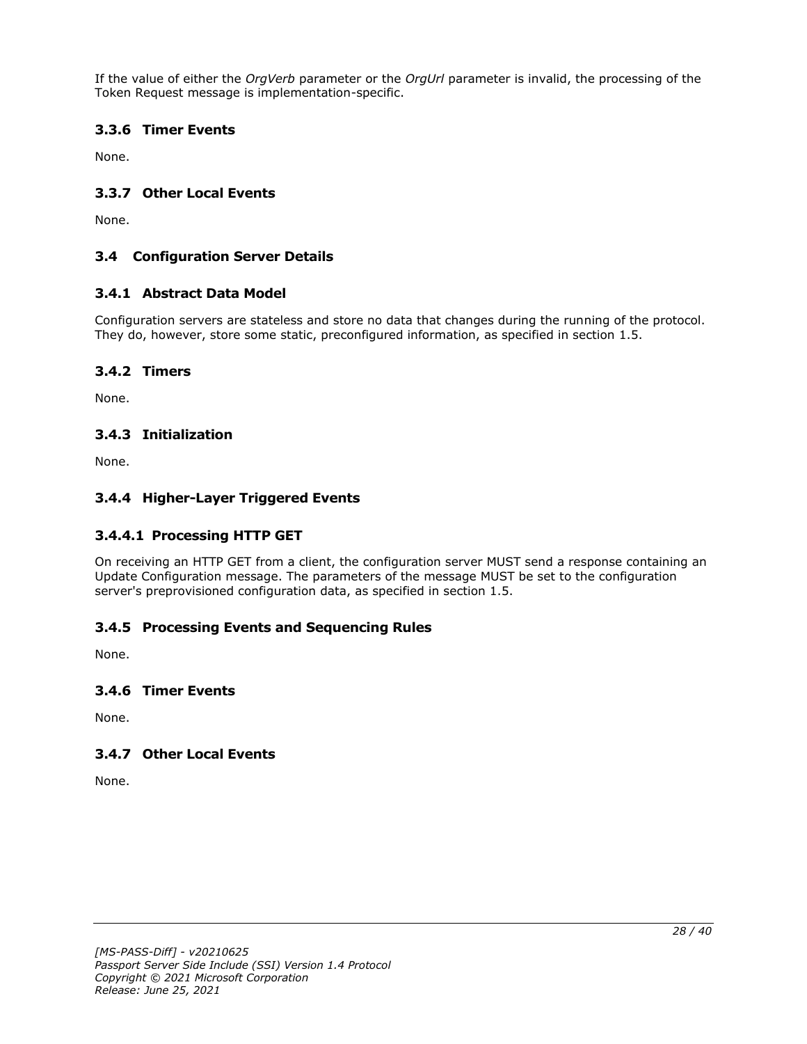If the value of either the *OrgVerb* parameter or the *OrgUrl* parameter is invalid, the processing of the Token Request message is implementation-specific.

# <span id="page-27-0"></span>**3.3.6 Timer Events**

None.

### <span id="page-27-1"></span>**3.3.7 Other Local Events**

None.

### <span id="page-27-2"></span>**3.4 Configuration Server Details**

#### <span id="page-27-3"></span>**3.4.1 Abstract Data Model**

Configuration servers are stateless and store no data that changes during the running of the protocol. They do, however, store some static, preconfigured information, as specified in section 1.5.

#### <span id="page-27-4"></span>**3.4.2 Timers**

None.

#### <span id="page-27-5"></span>**3.4.3 Initialization**

None.

#### <span id="page-27-6"></span>**3.4.4 Higher-Layer Triggered Events**

#### <span id="page-27-7"></span>**3.4.4.1 Processing HTTP GET**

On receiving an HTTP GET from a client, the configuration server MUST send a response containing an Update Configuration message. The parameters of the message MUST be set to the configuration server's preprovisioned configuration data, as specified in section 1.5.

#### <span id="page-27-8"></span>**3.4.5 Processing Events and Sequencing Rules**

None.

#### <span id="page-27-9"></span>**3.4.6 Timer Events**

None.

#### <span id="page-27-10"></span>**3.4.7 Other Local Events**

None.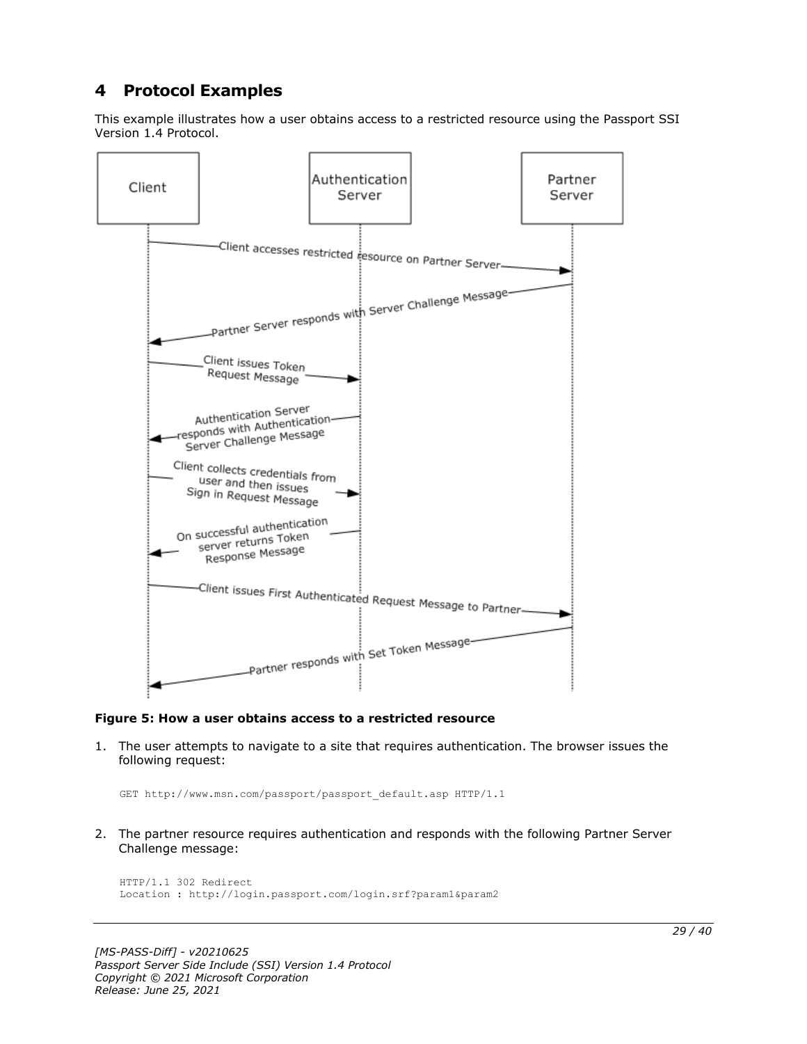# <span id="page-28-0"></span>**4 Protocol Examples**

This example illustrates how a user obtains access to a restricted resource using the Passport SSI Version 1.4 Protocol.



#### **Figure 5: How a user obtains access to a restricted resource**

1. The user attempts to navigate to a site that requires authentication. The browser issues the following request:

GET http://www.msn.com/passport/passport\_default.asp HTTP/1.1

2. The partner resource requires authentication and responds with the following Partner Server Challenge message:

```
HTTP/1.1 302 Redirect
Location : http://login.passport.com/login.srf?param1&param2
```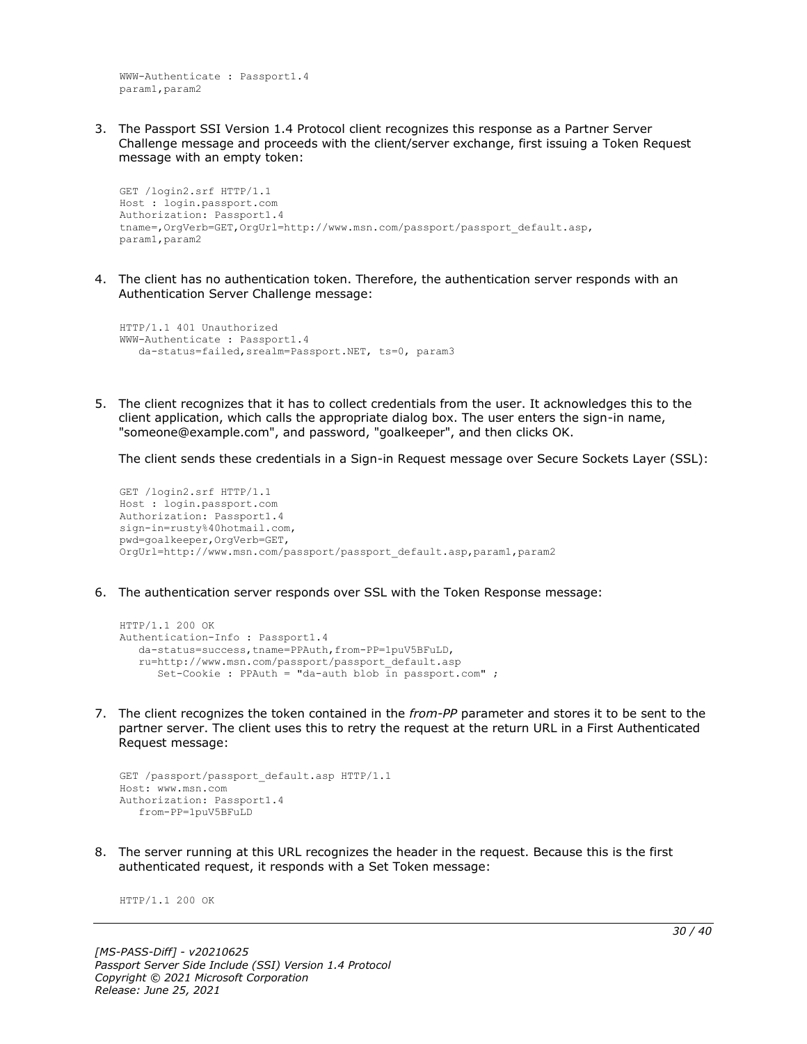WWW-Authenticate : Passport1.4 param1,param2

3. The Passport SSI Version 1.4 Protocol client recognizes this response as a Partner Server Challenge message and proceeds with the client/server exchange, first issuing a Token Request message with an empty token:

```
GET /login2.srf HTTP/1.1
Host : login.passport.com
Authorization: Passport1.4
tname=,OrgVerb=GET,OrgUrl=http://www.msn.com/passport/passport_default.asp,
param1,param2
```
4. The client has no authentication token. Therefore, the authentication server responds with an Authentication Server Challenge message:

```
HTTP/1.1 401 Unauthorized
WWW-Authenticate : Passport1.4
    da-status=failed,srealm=Passport.NET, ts=0, param3
```
5. The client recognizes that it has to collect credentials from the user. It acknowledges this to the client application, which calls the appropriate dialog box. The user enters the sign-in name, "someone@example.com", and password, "goalkeeper", and then clicks OK.

The client sends these credentials in a Sign-in Request message over Secure Sockets Layer (SSL):

```
GET /login2.srf HTTP/1.1
Host : login.passport.com
Authorization: Passport1.4
sign-in=rusty%40hotmail.com,
pwd=goalkeeper,OrgVerb=GET,
OrgUrl=http://www.msn.com/passport/passport_default.asp,param1,param2
```
6. The authentication server responds over SSL with the Token Response message:

```
HTTP/1.1 200 OK
Authentication-Info : Passport1.4
   da-status=success,tname=PPAuth,from-PP=1puV5BFuLD,
    ru=http://www.msn.com/passport/passport_default.asp
      Set-Cookie : PPAuth = "da-auth blob in passport.com" ;
```
7. The client recognizes the token contained in the *from-PP* parameter and stores it to be sent to the partner server. The client uses this to retry the request at the return URL in a First Authenticated Request message:

```
GET /passport/passport default.asp HTTP/1.1
Host: www.msn.com
Authorization: Passport1.4
    from-PP=1puV5BFuLD
```
8. The server running at this URL recognizes the header in the request. Because this is the first authenticated request, it responds with a Set Token message:

HTTP/1.1 200 OK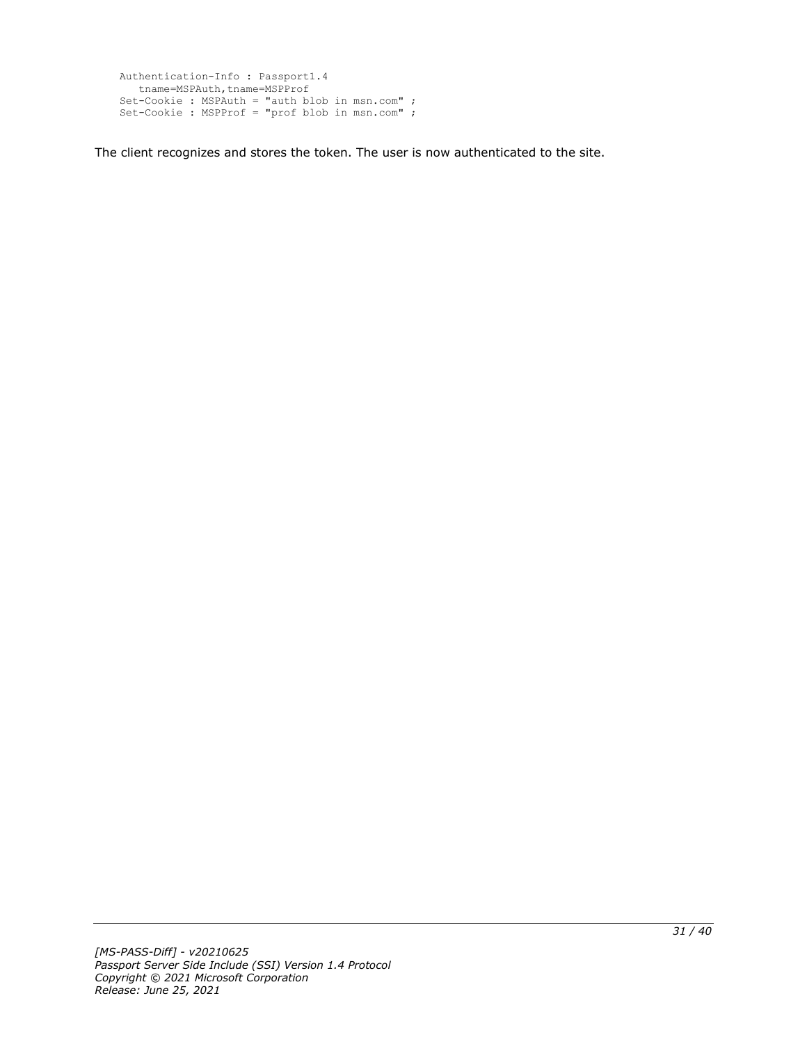```
Authentication-Info : Passport1.4
  tname=MSPAuth,tname=MSPProf
Set-Cookie : MSPAuth = "auth blob in msn.com" ;
Set-Cookie : MSPProf = "prof blob in msn.com" ;
```
The client recognizes and stores the token. The user is now authenticated to the site.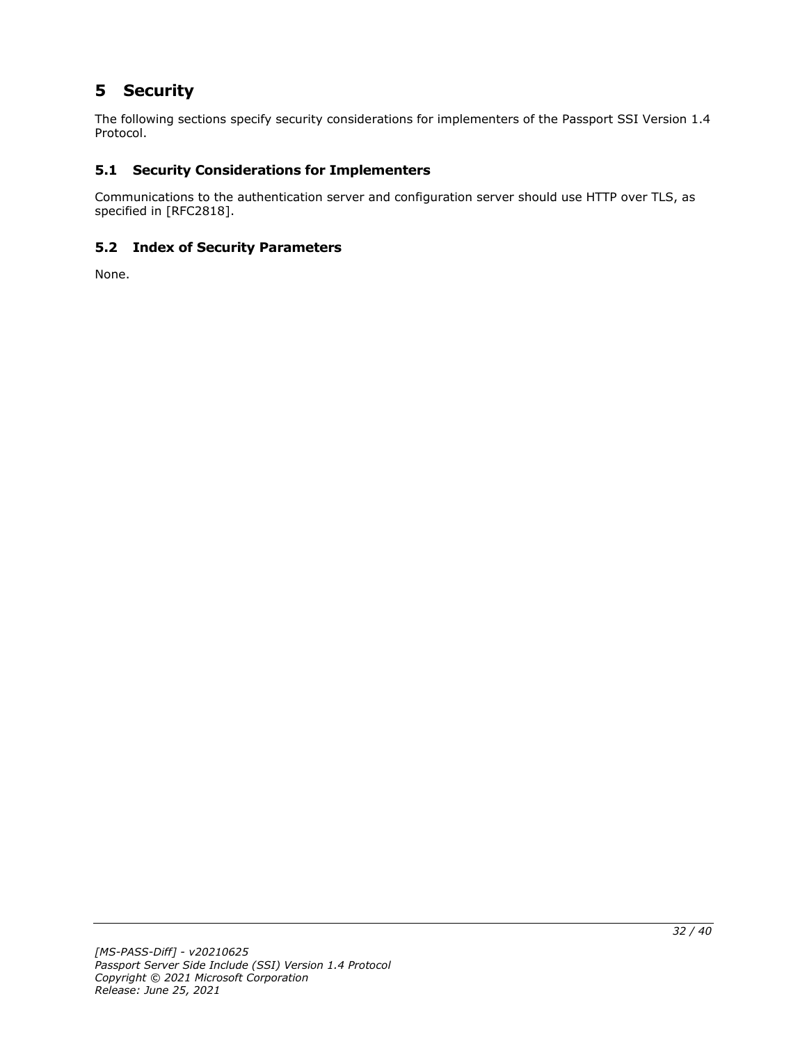# <span id="page-31-0"></span>**5 Security**

The following sections specify security considerations for implementers of the Passport SSI Version 1.4 Protocol.

# <span id="page-31-1"></span>**5.1 Security Considerations for Implementers**

Communications to the authentication server and configuration server should use HTTP over TLS, as specified in [RFC2818].

# <span id="page-31-2"></span>**5.2 Index of Security Parameters**

None.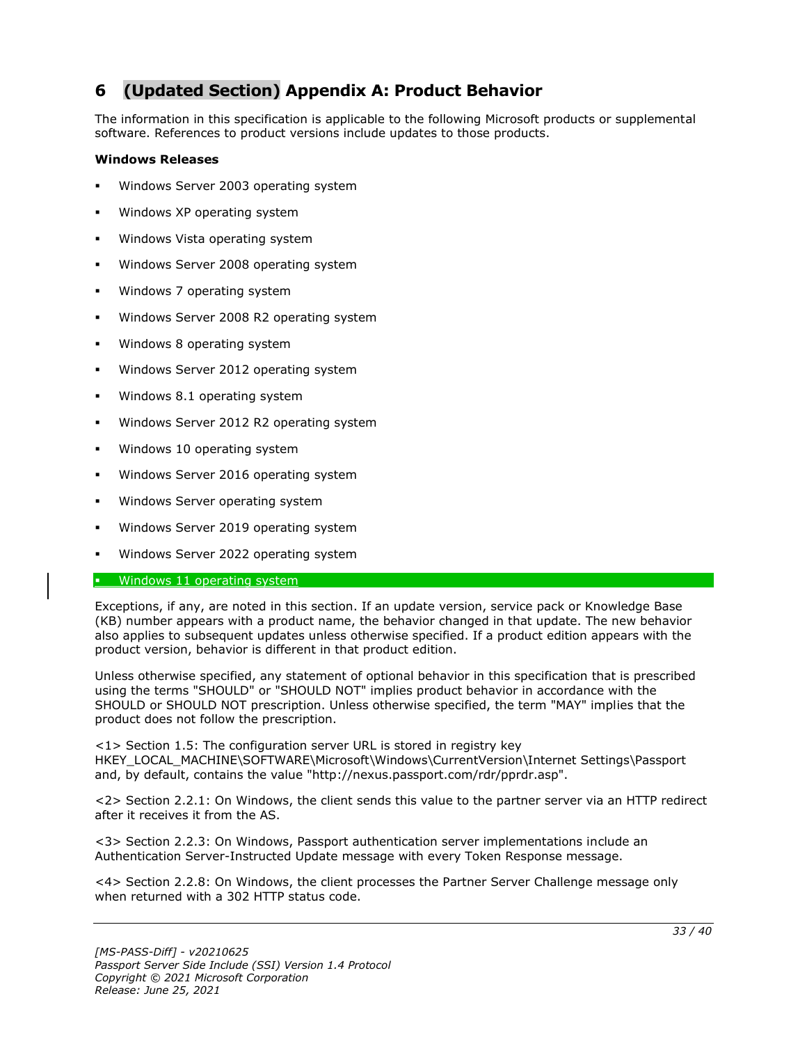# <span id="page-32-0"></span>**6 (Updated Section) Appendix A: Product Behavior**

The information in this specification is applicable to the following Microsoft products or supplemental software. References to product versions include updates to those products.

#### **Windows Releases**

- Windows Server 2003 operating system
- Windows XP operating system
- Windows Vista operating system
- Windows Server 2008 operating system
- Windows 7 operating system
- Windows Server 2008 R2 operating system
- Windows 8 operating system
- Windows Server 2012 operating system
- Windows 8.1 operating system
- Windows Server 2012 R2 operating system
- Windows 10 operating system
- Windows Server 2016 operating system
- Windows Server operating system
- Windows Server 2019 operating system
- Windows Server 2022 operating system

#### **•** Windows 11 operating system

Exceptions, if any, are noted in this section. If an update version, service pack or Knowledge Base (KB) number appears with a product name, the behavior changed in that update. The new behavior also applies to subsequent updates unless otherwise specified. If a product edition appears with the product version, behavior is different in that product edition.

Unless otherwise specified, any statement of optional behavior in this specification that is prescribed using the terms "SHOULD" or "SHOULD NOT" implies product behavior in accordance with the SHOULD or SHOULD NOT prescription. Unless otherwise specified, the term "MAY" implies that the product does not follow the prescription.

<1> Section 1.5: The configuration server URL is stored in registry key HKEY\_LOCAL\_MACHINE\SOFTWARE\Microsoft\Windows\CurrentVersion\Internet Settings\Passport and, by default, contains the value "http://nexus.passport.com/rdr/pprdr.asp".

<2> Section 2.2.1: On Windows, the client sends this value to the partner server via an HTTP redirect after it receives it from the AS.

<3> Section 2.2.3: On Windows, Passport authentication server implementations include an Authentication Server-Instructed Update message with every Token Response message.

<4> Section 2.2.8: On Windows, the client processes the Partner Server Challenge message only when returned with a 302 HTTP status code.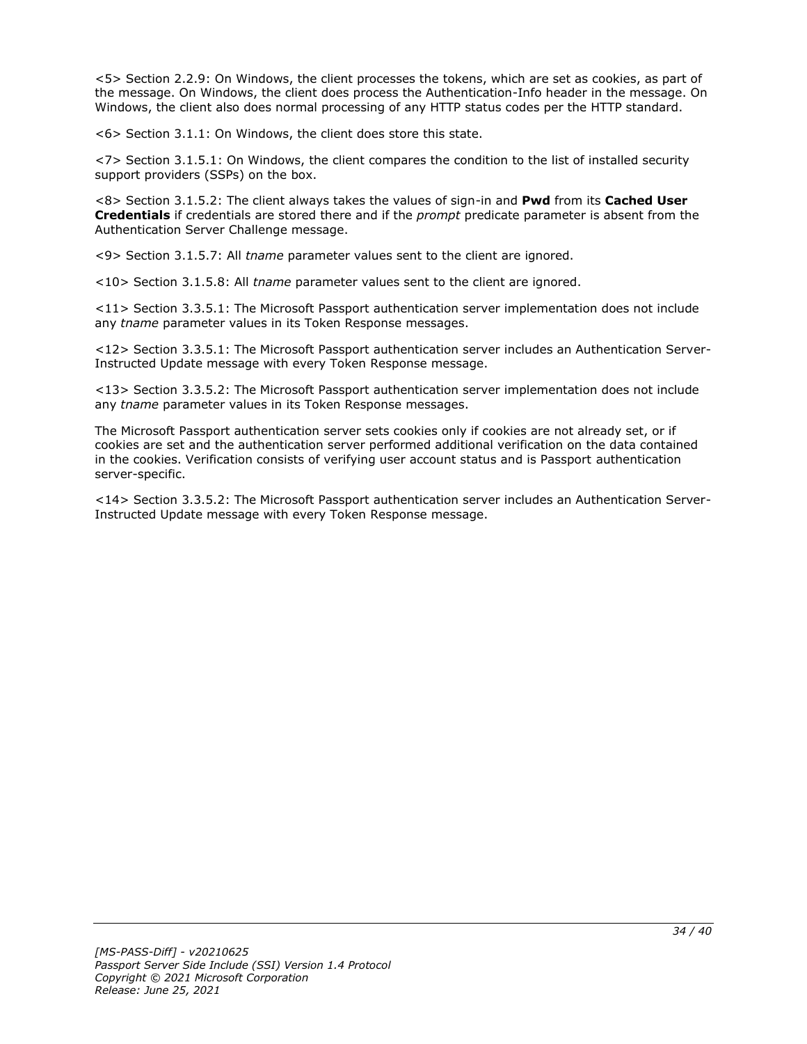<5> Section 2.2.9: On Windows, the client processes the tokens, which are set as cookies, as part of the message. On Windows, the client does process the Authentication-Info header in the message. On Windows, the client also does normal processing of any HTTP status codes per the HTTP standard.

<6> Section 3.1.1: On Windows, the client does store this state.

<7> Section 3.1.5.1: On Windows, the client compares the condition to the list of installed security support providers (SSPs) on the box.

<8> Section 3.1.5.2: The client always takes the values of sign-in and **Pwd** from its **Cached User Credentials** if credentials are stored there and if the *prompt* predicate parameter is absent from the Authentication Server Challenge message.

<9> Section 3.1.5.7: All *tname* parameter values sent to the client are ignored.

<10> Section 3.1.5.8: All *tname* parameter values sent to the client are ignored.

<11> Section 3.3.5.1: The Microsoft Passport authentication server implementation does not include any *tname* parameter values in its Token Response messages.

<12> Section 3.3.5.1: The Microsoft Passport authentication server includes an Authentication Server-Instructed Update message with every Token Response message.

<13> Section 3.3.5.2: The Microsoft Passport authentication server implementation does not include any *tname* parameter values in its Token Response messages.

The Microsoft Passport authentication server sets cookies only if cookies are not already set, or if cookies are set and the authentication server performed additional verification on the data contained in the cookies. Verification consists of verifying user account status and is Passport authentication server-specific.

<14> Section 3.3.5.2: The Microsoft Passport authentication server includes an Authentication Server-Instructed Update message with every Token Response message.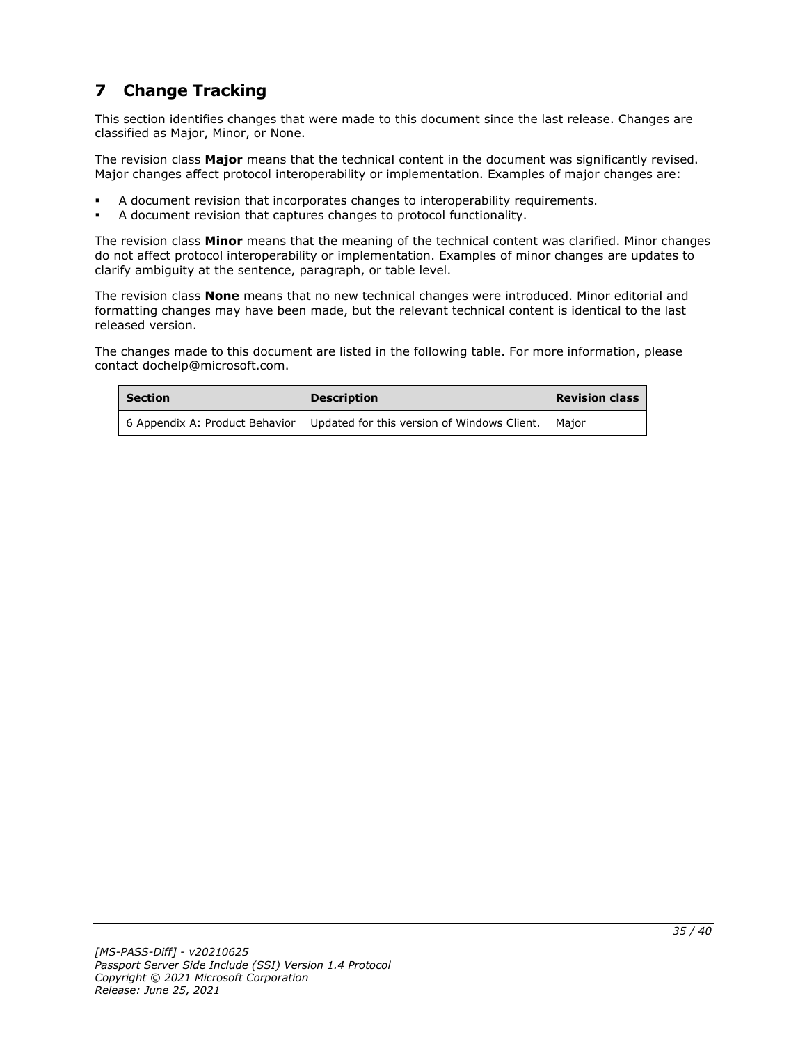# <span id="page-34-0"></span>**7 Change Tracking**

This section identifies changes that were made to this document since the last release. Changes are classified as Major, Minor, or None.

The revision class **Major** means that the technical content in the document was significantly revised. Major changes affect protocol interoperability or implementation. Examples of major changes are:

- A document revision that incorporates changes to interoperability requirements.
- A document revision that captures changes to protocol functionality.

The revision class **Minor** means that the meaning of the technical content was clarified. Minor changes do not affect protocol interoperability or implementation. Examples of minor changes are updates to clarify ambiguity at the sentence, paragraph, or table level.

The revision class **None** means that no new technical changes were introduced. Minor editorial and formatting changes may have been made, but the relevant technical content is identical to the last released version.

The changes made to this document are listed in the following table. For more information, please contact dochelp@microsoft.com.

| <b>Section</b> | <b>Description</b>                                                                   | <b>Revision class</b> |
|----------------|--------------------------------------------------------------------------------------|-----------------------|
|                | 6 Appendix A: Product Behavior   Updated for this version of Windows Client.   Major |                       |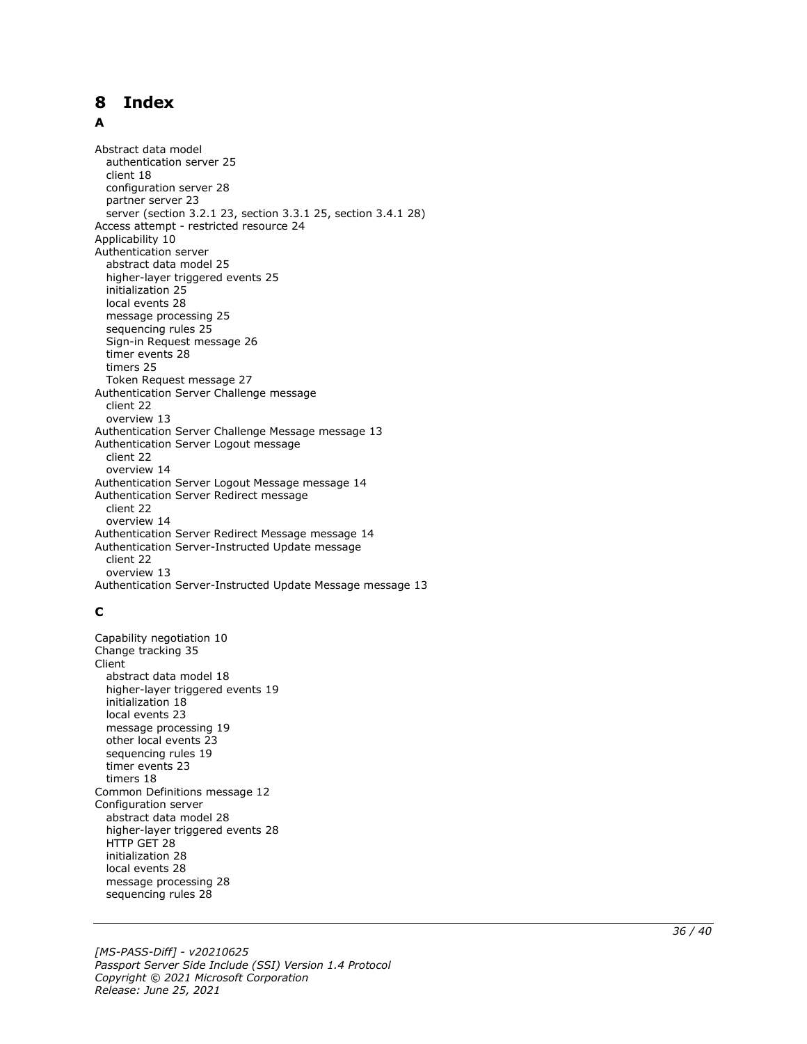# <span id="page-35-0"></span>8 Index

#### A

**8 Index**<br> **A**<br>
Abstract data model<br>
authentication server<br>
cignitarity and the score of partner server 23<br>
server (section 3.2.1<br>
Access attempt - restrict<br>
Authentication server<br>
abstract data model<br>
2 higher-layer tri Abstract data model authentication server 25 client 18 configuration server 28 partner server 23 server (section 3.2.1 23, section 3.3.1 25, section 3.4.1 28 ) Access attempt - restricted resource 24 Applicability 10 Authentication server abstract data model 25 higher -layer triggered events 25 initialization 25 local events 28 message processing 25 sequencing rules 25 Sign -in Request message 26 timer events 28 timers 25 Token Request message 27 Authentication Server Challenge message client 22 overview 13 Authentication Server Challenge Message message 13 Authentication Server Logout message client 22 overview 14 Authentication Server Logout Message message 14 Authentication Server Redirect message client 22 overview 14 Authentication Server Redirect Message message 14 Authentication Server -Instructed Update message client 22 overview 13 Authentication Server -Instructed Update Message message 13

#### **C**

Capability negotiation 10 Change tracking 35 Client abstract data model 18 higher -layer triggered events 19 initialization 18 local events 23 message processing 19 other local events 23 sequencing rules 19 timer events 23 timers 18 Common Definitions message 12 Configuration server abstract data model 28 higher -layer triggered events 28 HTTP GET 28 initialization 28 local events 28 message processing 28 sequencing rules 28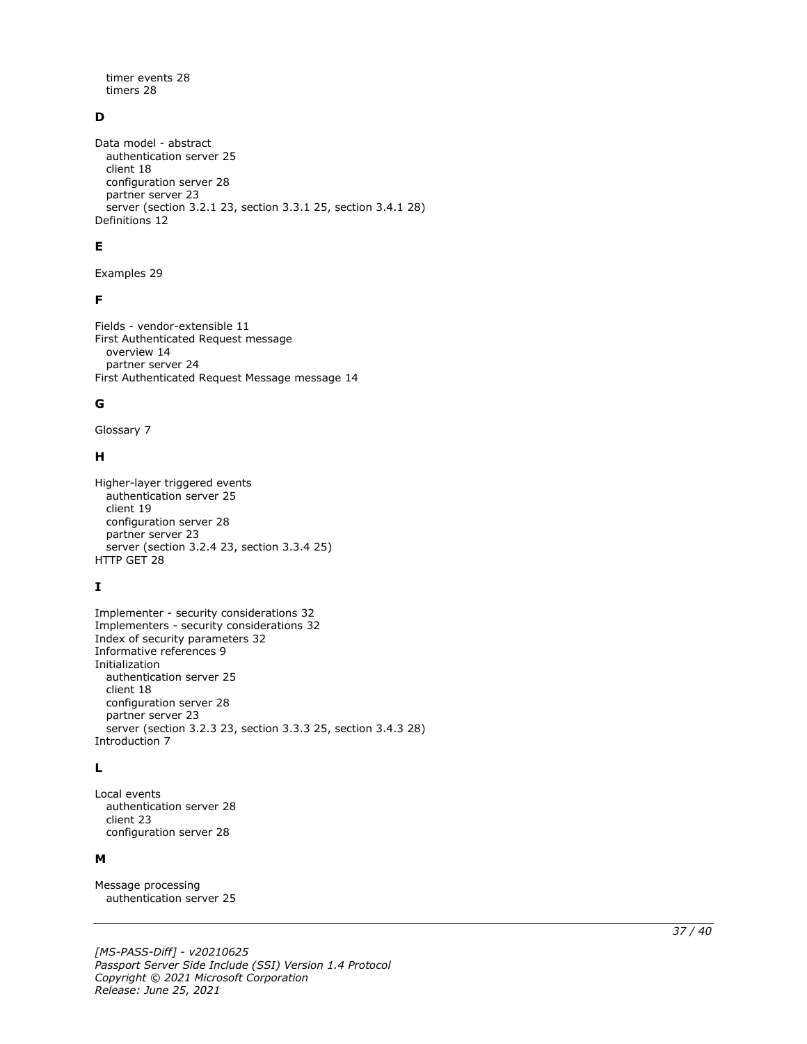timer events 28 timers 28

# **D**

Data model - abstract authentication server 25 client 18 configuration server 28 partner server 23 server (section 3.2.1 23, section 3.3.1 25, section 3.4.1 28) Definitions 12

#### **E**

Examples 29

#### **F**

Fields - vendor-extensible 11 First Authenticated Request message overview 14 partner server 24 First Authenticated Request Message message 14

#### **G**

Glossary 7

#### **H**

```
Higher-layer triggered events
   authentication server 25
   client 19
   configuration server 28
   partner server 23
  server (section 3.2.4 23, section 3.3.4 25)
HTTP GET 28
```
#### **I**

Implementer - security considerations 32 Implementers - security considerations 32 Index of security parameters 32 Informative references 9 Initialization authentication server 25 client 18 configuration server 28 partner server 23 server (section 3.2.3 23, section 3.3.3 25, section 3.4.3 28) Introduction 7

#### **L**

Local events authentication server 28 client 23 configuration server 28

#### **M**

Message processing authentication server 25

*[MS-PASS-Diff] - v20210625 Passport Server Side Include (SSI) Version 1.4 Protocol Copyright © 2021 Microsoft Corporation Release: June 25, 2021*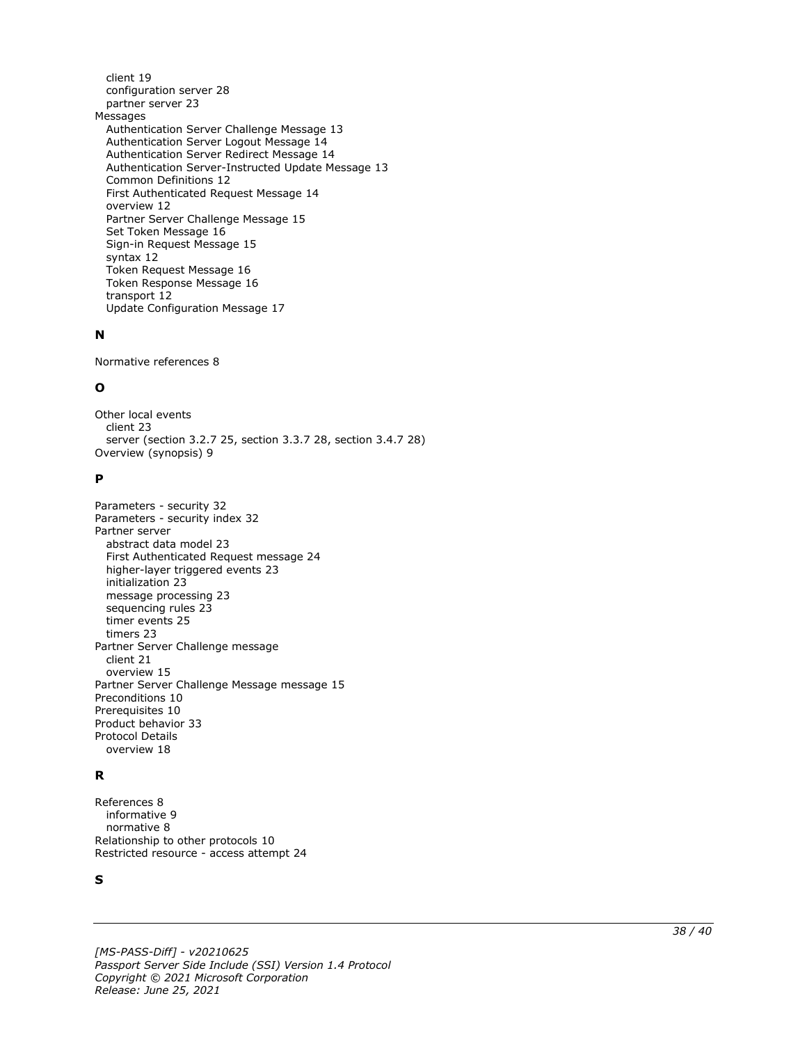client 19 configuration server 28 partner server 23 Messages Authentication Server Challenge Message 13 Authentication Server Logout Message 14 Authentication Server Redirect Message 14 Authentication Server -Instructed Update Message 13 Common Definitions 12 First Authenticated Request Message 14 overview 12 Partner Server Challenge Message 15 Set Token Message 16 Sign -in Request Message 15 syntax 12 Token Request Message 16 Token Response Message 16 transport 12 Update Configuration Message 17

#### **N**

Normative references 8

#### **O**

Other local events client 23 server (section 3.2.7 25, section 3.3.7 28, section 3.4.7 28 ) Overview (synopsis) 9

#### **P**

```
Parameters 
- security 32
Parameters 
- security index 32
Partner server
   abstract data model 23
   First Authenticated Request message 24
 higher
-layer triggered events 23
   initialization 23
   message processing 23
   sequencing rules 23
   timer events 25
   timers 23
Partner Server Challenge message
   client 21
   overview 15
Partner Server Challenge Message message 15
Preconditions 10
Prerequisites 10
Product behavior 33
Protocol Details
  overview 18
```
#### **R**

```
References 
8
 informative 
9
 normative 
8
Relationship to other protocols 10
Restricted resource 
- access attempt 24
```
#### **S**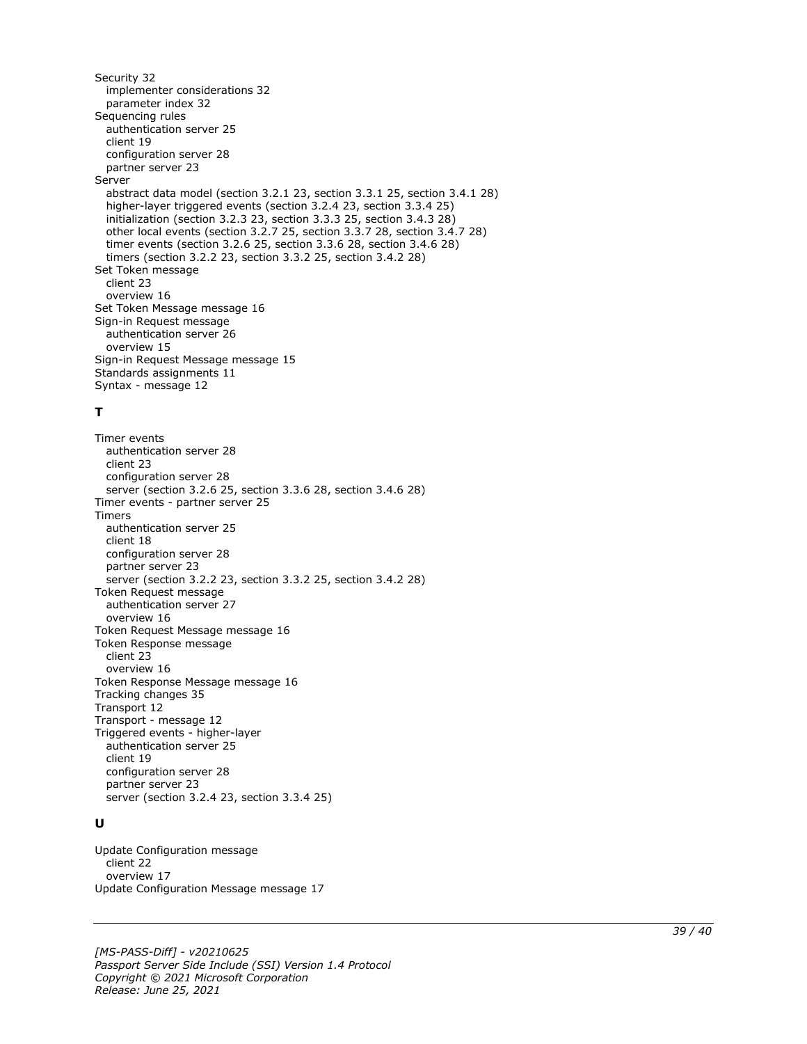Security 32 implementer considerations 32 parameter index 32 Sequencing rules authentication server 25 client 19 configuration server 28 partner server 23 Server abstract data model (section 3.2.1 23, section 3.3.1 25, section 3.4.1 28) higher-layer triggered events (section 3.2.4 23, section 3.3.4 25) initialization (section 3.2.3 23, section 3.3.3 25, section 3.4.3 28) other local events (section 3.2.7 25, section 3.3.7 28, section 3.4.7 28) timer events (section 3.2.6 25, section 3.3.6 28, section 3.4.6 28) timers (section 3.2.2 23, section 3.3.2 25, section 3.4.2 28) Set Token message client 23 overview 16 Set Token Message message 16 Sign-in Request message authentication server 26 overview 15 Sign-in Request Message message 15 Standards assignments 11 Syntax - message 12

#### **T**

Timer events authentication server 28 client 23 configuration server 28 server (section 3.2.6 25, section 3.3.6 28, section 3.4.6 28) Timer events - partner server 25 Timers authentication server 25 client 18 configuration server 28 partner server 23 server (section 3.2.2 23, section 3.3.2 25, section 3.4.2 28) Token Request message authentication server 27 overview 16 Token Request Message message 16 Token Response message client 23 overview 16 Token Response Message message 16 Tracking changes 35 Transport 12 Transport - message 12 Triggered events - higher-layer authentication server 25 client 19 configuration server 28 partner server 23 server (section 3.2.4 23, section 3.3.4 25)

#### **U**

Update Configuration message client 22 overview 17 Update Configuration Message message 17

*[MS-PASS-Diff] - v20210625 Passport Server Side Include (SSI) Version 1.4 Protocol Copyright © 2021 Microsoft Corporation Release: June 25, 2021*